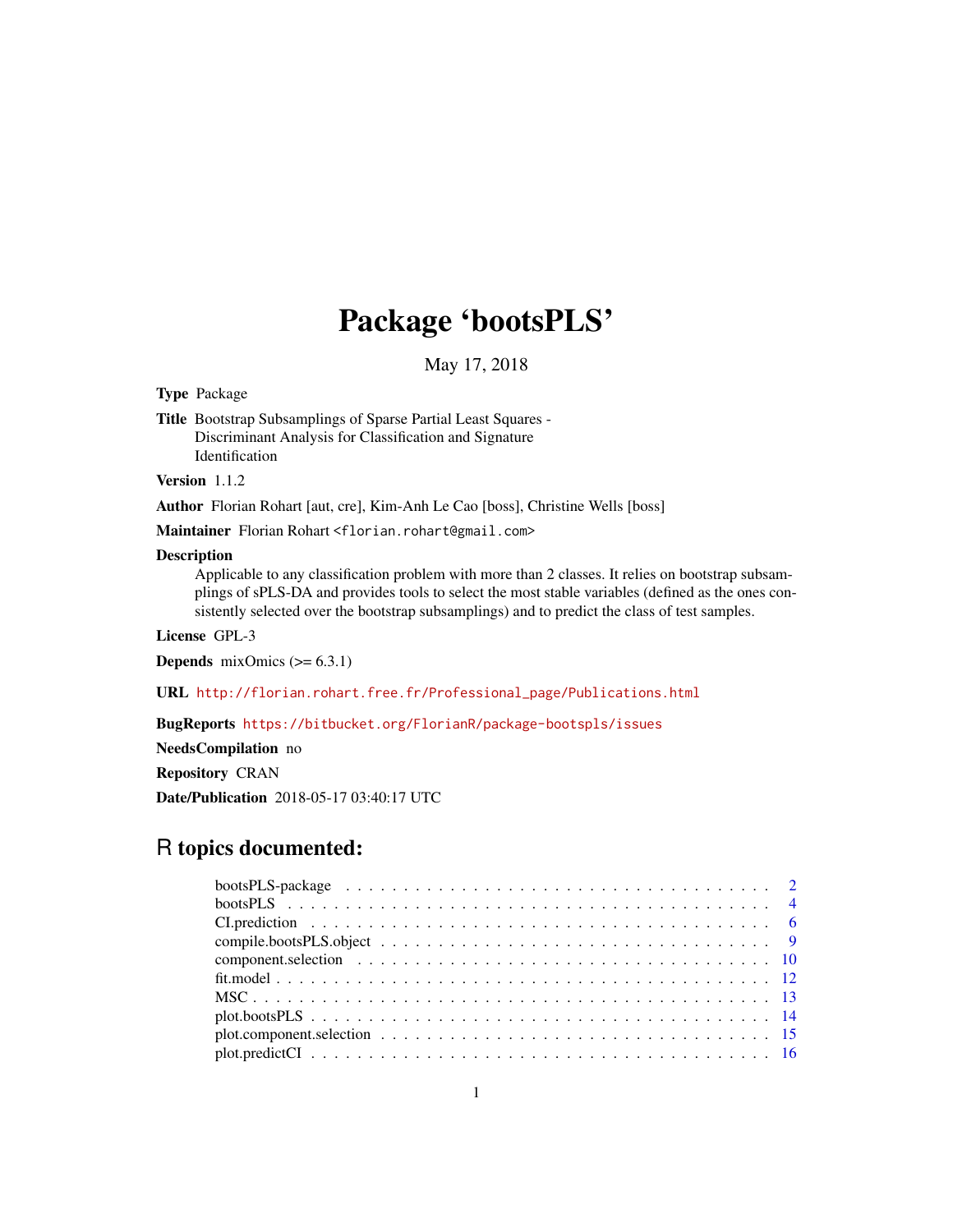# Package 'bootsPLS'

May 17, 2018

<span id="page-0-0"></span>Type Package

Title Bootstrap Subsamplings of Sparse Partial Least Squares - Discriminant Analysis for Classification and Signature Identification

Version 1.1.2

Author Florian Rohart [aut, cre], Kim-Anh Le Cao [boss], Christine Wells [boss]

Maintainer Florian Rohart <florian.rohart@gmail.com>

#### Description

Applicable to any classification problem with more than 2 classes. It relies on bootstrap subsamplings of sPLS-DA and provides tools to select the most stable variables (defined as the ones consistently selected over the bootstrap subsamplings) and to predict the class of test samples.

License GPL-3

**Depends** mixOmics  $(>= 6.3.1)$ 

URL [http://florian.rohart.free.fr/Professional\\_page/Publications.html](http://florian.rohart.free.fr/Professional_page/Publications.html)

BugReports <https://bitbucket.org/FlorianR/package-bootspls/issues>

NeedsCompilation no

Repository CRAN

Date/Publication 2018-05-17 03:40:17 UTC

# R topics documented:

| bootsPLS-package $\ldots \ldots \ldots \ldots \ldots \ldots \ldots \ldots \ldots \ldots \ldots \ldots \ldots 2$ |  |  |  |  |  |  |  |  |  |  |  |  |  |  |  |  |
|-----------------------------------------------------------------------------------------------------------------|--|--|--|--|--|--|--|--|--|--|--|--|--|--|--|--|
|                                                                                                                 |  |  |  |  |  |  |  |  |  |  |  |  |  |  |  |  |
|                                                                                                                 |  |  |  |  |  |  |  |  |  |  |  |  |  |  |  |  |
|                                                                                                                 |  |  |  |  |  |  |  |  |  |  |  |  |  |  |  |  |
|                                                                                                                 |  |  |  |  |  |  |  |  |  |  |  |  |  |  |  |  |
|                                                                                                                 |  |  |  |  |  |  |  |  |  |  |  |  |  |  |  |  |
|                                                                                                                 |  |  |  |  |  |  |  |  |  |  |  |  |  |  |  |  |
|                                                                                                                 |  |  |  |  |  |  |  |  |  |  |  |  |  |  |  |  |
|                                                                                                                 |  |  |  |  |  |  |  |  |  |  |  |  |  |  |  |  |
|                                                                                                                 |  |  |  |  |  |  |  |  |  |  |  |  |  |  |  |  |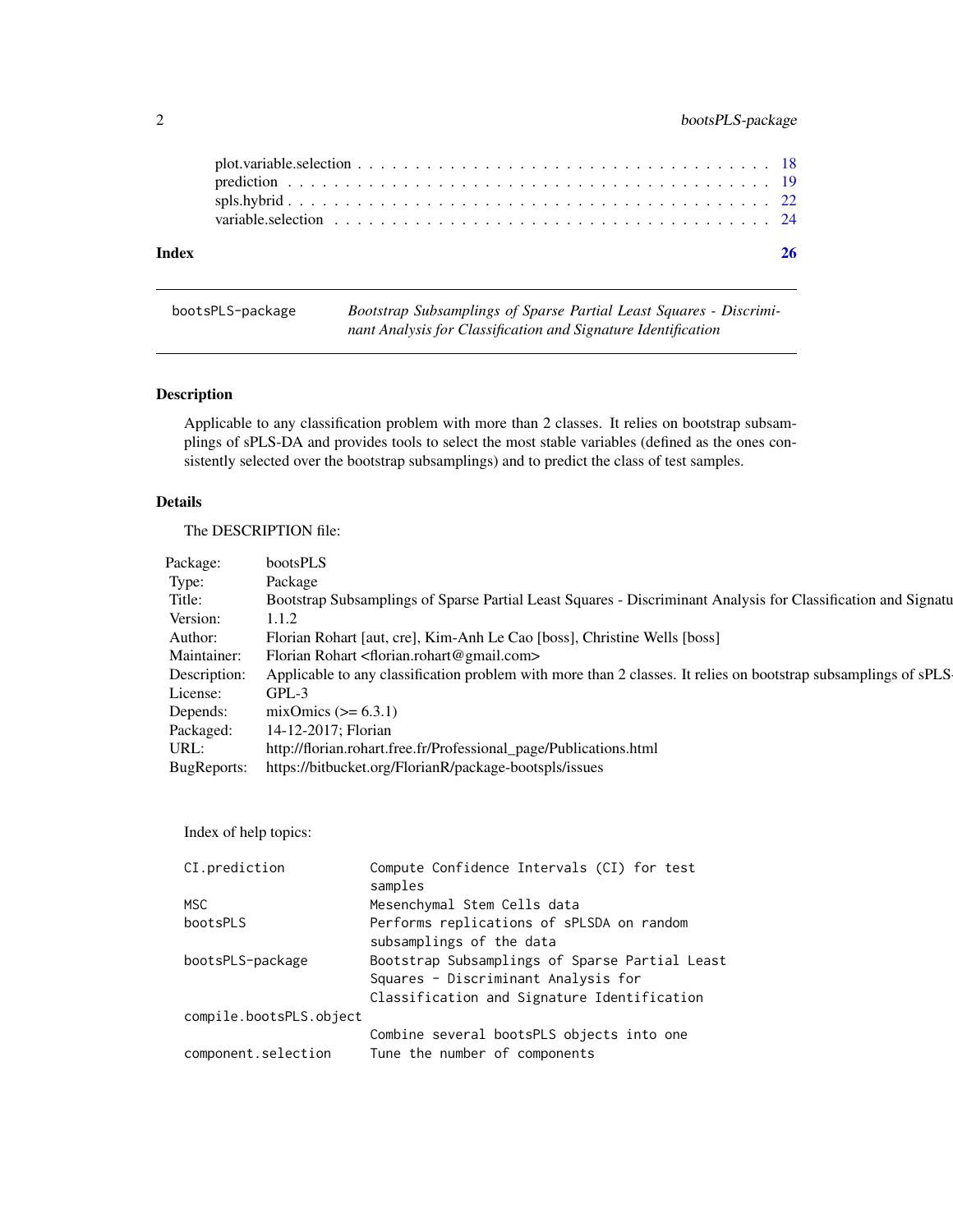<span id="page-1-0"></span>

| Index |  |  |  |  |  |  |  |  |  |  |  |  |  |  |  |
|-------|--|--|--|--|--|--|--|--|--|--|--|--|--|--|--|
|       |  |  |  |  |  |  |  |  |  |  |  |  |  |  |  |
|       |  |  |  |  |  |  |  |  |  |  |  |  |  |  |  |
|       |  |  |  |  |  |  |  |  |  |  |  |  |  |  |  |

| bootsPLS-package | Bootstrap Subsamplings of Sparse Partial Least Squares - Discrimi- |
|------------------|--------------------------------------------------------------------|
|                  | nant Analysis for Classification and Signature Identification      |

# Description

Applicable to any classification problem with more than 2 classes. It relies on bootstrap subsamplings of sPLS-DA and provides tools to select the most stable variables (defined as the ones consistently selected over the bootstrap subsamplings) and to predict the class of test samples.

#### Details

The DESCRIPTION file:

Index of help topics:

| CI.prediction           | Compute Confidence Intervals (CI) for test     |
|-------------------------|------------------------------------------------|
|                         | samples                                        |
| MSC.                    | Mesenchymal Stem Cells data                    |
| bootsPLS                | Performs replications of sPLSDA on random      |
|                         | subsamplings of the data                       |
| bootsPLS-package        | Bootstrap Subsamplings of Sparse Partial Least |
|                         | Squares - Discriminant Analysis for            |
|                         | Classification and Signature Identification    |
| compile.bootsPLS.object |                                                |
|                         | Combine several bootsPLS objects into one      |
| component.selection     | Tune the number of components                  |
|                         |                                                |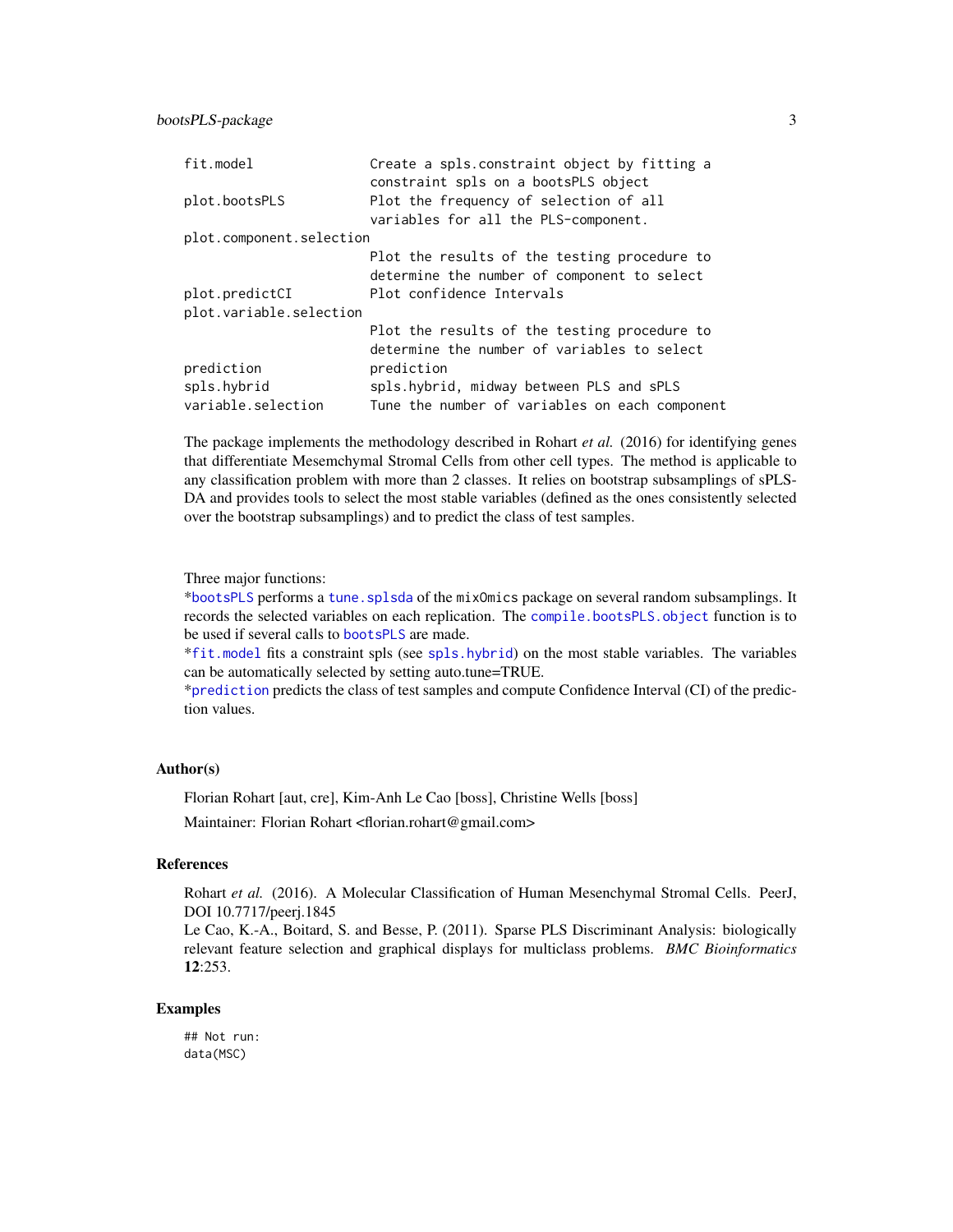#### <span id="page-2-0"></span>bootsPLS-package 3

| fit.model                | Create a spls.constraint object by fitting a<br>constraint spls on a bootsPLS object        |
|--------------------------|---------------------------------------------------------------------------------------------|
| plot.bootsPLS            | Plot the frequency of selection of all                                                      |
|                          | variables for all the PLS-component.                                                        |
| plot.component.selection |                                                                                             |
|                          | Plot the results of the testing procedure to<br>determine the number of component to select |
| plot.predictCI           | Plot confidence Intervals                                                                   |
| plot.variable.selection  |                                                                                             |
|                          | Plot the results of the testing procedure to                                                |
|                          | determine the number of variables to select                                                 |
| prediction               | prediction                                                                                  |
| spls.hybrid              | spls.hybrid, midway between PLS and sPLS                                                    |
| variable.selection       | Tune the number of variables on each component                                              |

The package implements the methodology described in Rohart *et al.* (2016) for identifying genes that differentiate Mesemchymal Stromal Cells from other cell types. The method is applicable to any classification problem with more than 2 classes. It relies on bootstrap subsamplings of sPLS-DA and provides tools to select the most stable variables (defined as the ones consistently selected over the bootstrap subsamplings) and to predict the class of test samples.

Three major functions:

\*[bootsPLS](#page-3-1) performs a [tune.splsda](#page-0-0) of the mixOmics package on several random subsamplings. It records the selected variables on each replication. The [compile.bootsPLS.object](#page-8-1) function is to be used if several calls to [bootsPLS](#page-3-1) are made.

\*[fit.model](#page-11-1) fits a constraint spls (see [spls.hybrid](#page-21-1)) on the most stable variables. The variables can be automatically selected by setting auto.tune=TRUE.

\*[prediction](#page-18-1) predicts the class of test samples and compute Confidence Interval (CI) of the prediction values.

#### Author(s)

Florian Rohart [aut, cre], Kim-Anh Le Cao [boss], Christine Wells [boss]

Maintainer: Florian Rohart <florian.rohart@gmail.com>

### References

Rohart et al. (2016). A Molecular Classification of Human Mesenchymal Stromal Cells. PeerJ, DOI 10.7717/peerj.1845

Le Cao, K.-A., Boitard, S. and Besse, P. (2011). Sparse PLS Discriminant Analysis: biologically relevant feature selection and graphical displays for multiclass problems. *BMC Bioinformatics* 12:253.

#### Examples

## Not run: data(MSC)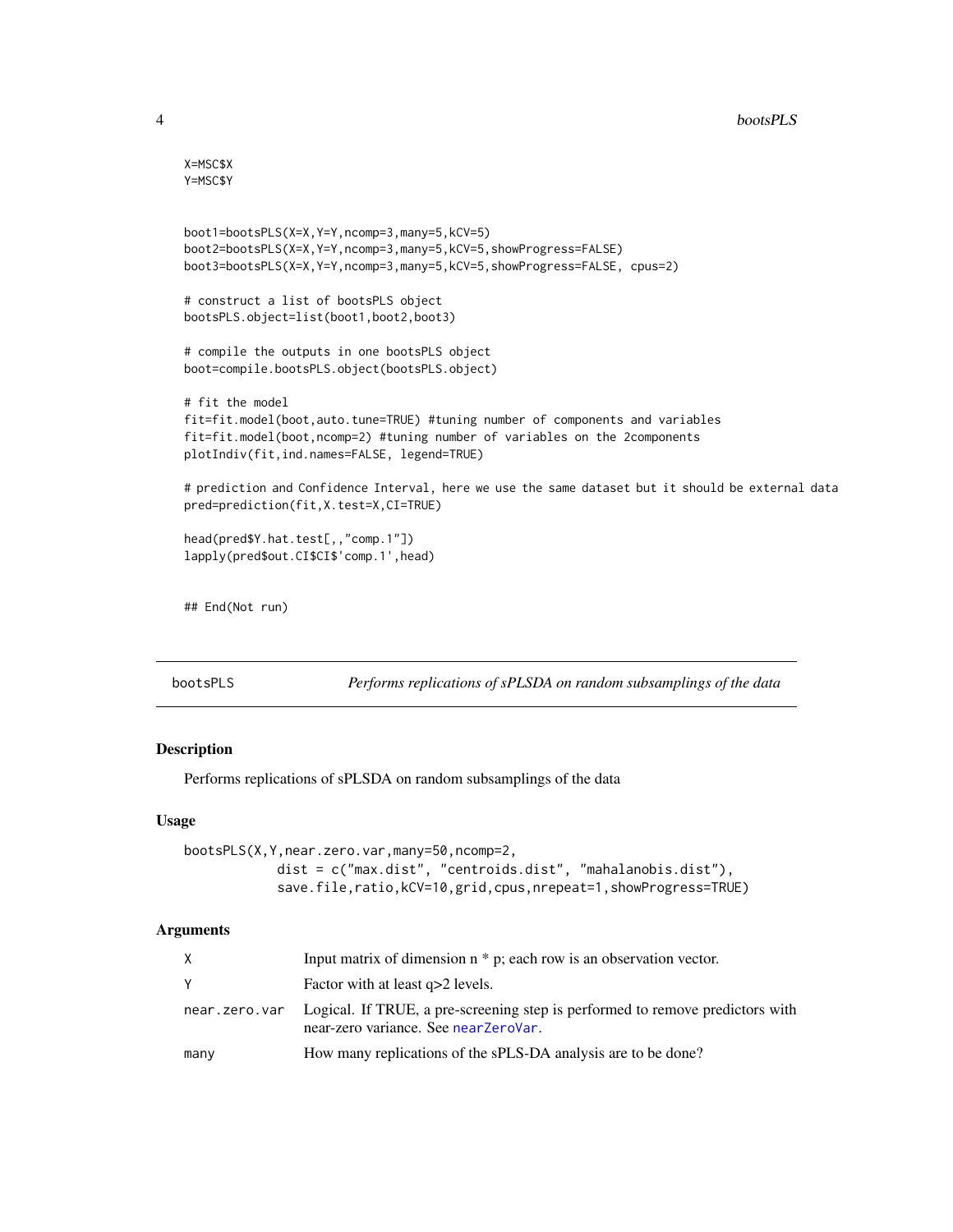```
X=MSC$X
Y=MSC$Y
boot1=bootsPLS(X=X,Y=Y,ncomp=3,many=5,kCV=5)
boot2=bootsPLS(X=X,Y=Y,ncomp=3,many=5,kCV=5,showProgress=FALSE)
boot3=bootsPLS(X=X,Y=Y,ncomp=3,many=5,kCV=5,showProgress=FALSE, cpus=2)
# construct a list of bootsPLS object
bootsPLS.object=list(boot1,boot2,boot3)
# compile the outputs in one bootsPLS object
boot=compile.bootsPLS.object(bootsPLS.object)
# fit the model
fit=fit.model(boot,auto.tune=TRUE) #tuning number of components and variables
fit=fit.model(boot,ncomp=2) #tuning number of variables on the 2components
plotIndiv(fit,ind.names=FALSE, legend=TRUE)
# prediction and Confidence Interval, here we use the same dataset but it should be external data
pred=prediction(fit,X.test=X,CI=TRUE)
head(pred$Y.hat.test[,,"comp.1"])
lapply(pred$out.CI$CI$'comp.1',head)
## End(Not run)
```
<span id="page-3-1"></span>

| bootsPLS | Performs replications of sPLSDA on random subsamplings of the data |  |
|----------|--------------------------------------------------------------------|--|
|----------|--------------------------------------------------------------------|--|

#### Description

Performs replications of sPLSDA on random subsamplings of the data

#### Usage

```
bootsPLS(X,Y,near.zero.var,many=50,ncomp=2,
            dist = c("max.dist", "centroids.dist", "mahalanobis.dist"),
            save.file,ratio,kCV=10,grid,cpus,nrepeat=1,showProgress=TRUE)
```
#### Arguments

| X.            | Input matrix of dimension $n * p$ ; each row is an observation vector.                                                |
|---------------|-----------------------------------------------------------------------------------------------------------------------|
|               | Factor with at least q>2 levels.                                                                                      |
| near.zero.var | Logical. If TRUE, a pre-screening step is performed to remove predictors with<br>near-zero variance. See nearZeroVar. |
| many          | How many replications of the sPLS-DA analysis are to be done?                                                         |

<span id="page-3-0"></span>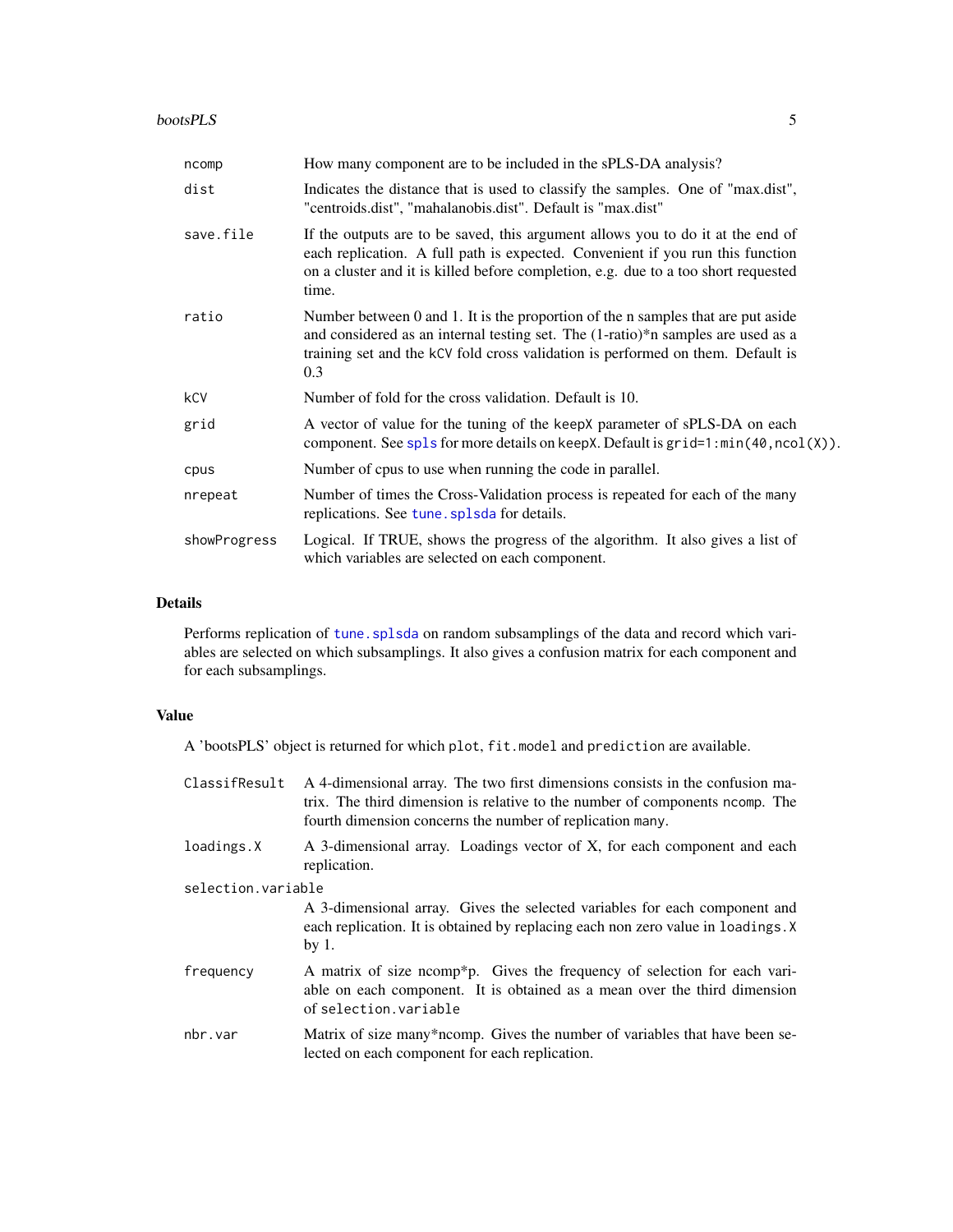#### <span id="page-4-0"></span>bootsPLS 5

| ncomp        | How many component are to be included in the sPLS-DA analysis?                                                                                                                                                                                                   |
|--------------|------------------------------------------------------------------------------------------------------------------------------------------------------------------------------------------------------------------------------------------------------------------|
| dist         | Indicates the distance that is used to classify the samples. One of "max.dist",<br>"centroids.dist", "mahalanobis.dist". Default is "max.dist"                                                                                                                   |
| save.file    | If the outputs are to be saved, this argument allows you to do it at the end of<br>each replication. A full path is expected. Convenient if you run this function<br>on a cluster and it is killed before completion, e.g. due to a too short requested<br>time. |
| ratio        | Number between 0 and 1. It is the proportion of the n samples that are put aside<br>and considered as an internal testing set. The (1-ratio)*n samples are used as a<br>training set and the kCV fold cross validation is performed on them. Default is<br>0.3   |
| kCV          | Number of fold for the cross validation. Default is 10.                                                                                                                                                                                                          |
| grid         | A vector of value for the tuning of the keepX parameter of sPLS-DA on each<br>component. See spls for more details on keepX. Default is $grid=1:min(40, ncol(X))$ .                                                                                              |
| cpus         | Number of cpus to use when running the code in parallel.                                                                                                                                                                                                         |
| nrepeat      | Number of times the Cross-Validation process is repeated for each of the many<br>replications. See tune splsda for details.                                                                                                                                      |
| showProgress | Logical. If TRUE, shows the progress of the algorithm. It also gives a list of<br>which variables are selected on each component.                                                                                                                                |

#### Details

Performs replication of tune. splsda on random subsamplings of the data and record which variables are selected on which subsamplings. It also gives a confusion matrix for each component and for each subsamplings.

#### Value

A 'bootsPLS' object is returned for which plot, fit.model and prediction are available.

- ClassifResult A 4-dimensional array. The two first dimensions consists in the confusion matrix. The third dimension is relative to the number of components ncomp. The fourth dimension concerns the number of replication many.
- loadings.X A 3-dimensional array. Loadings vector of X, for each component and each replication.

selection.variable

A 3-dimensional array. Gives the selected variables for each component and each replication. It is obtained by replacing each non zero value in loadings.X by 1.

- frequency A matrix of size ncomp\*p. Gives the frequency of selection for each variable on each component. It is obtained as a mean over the third dimension of selection.variable
- nbr.var Matrix of size many\*ncomp. Gives the number of variables that have been selected on each component for each replication.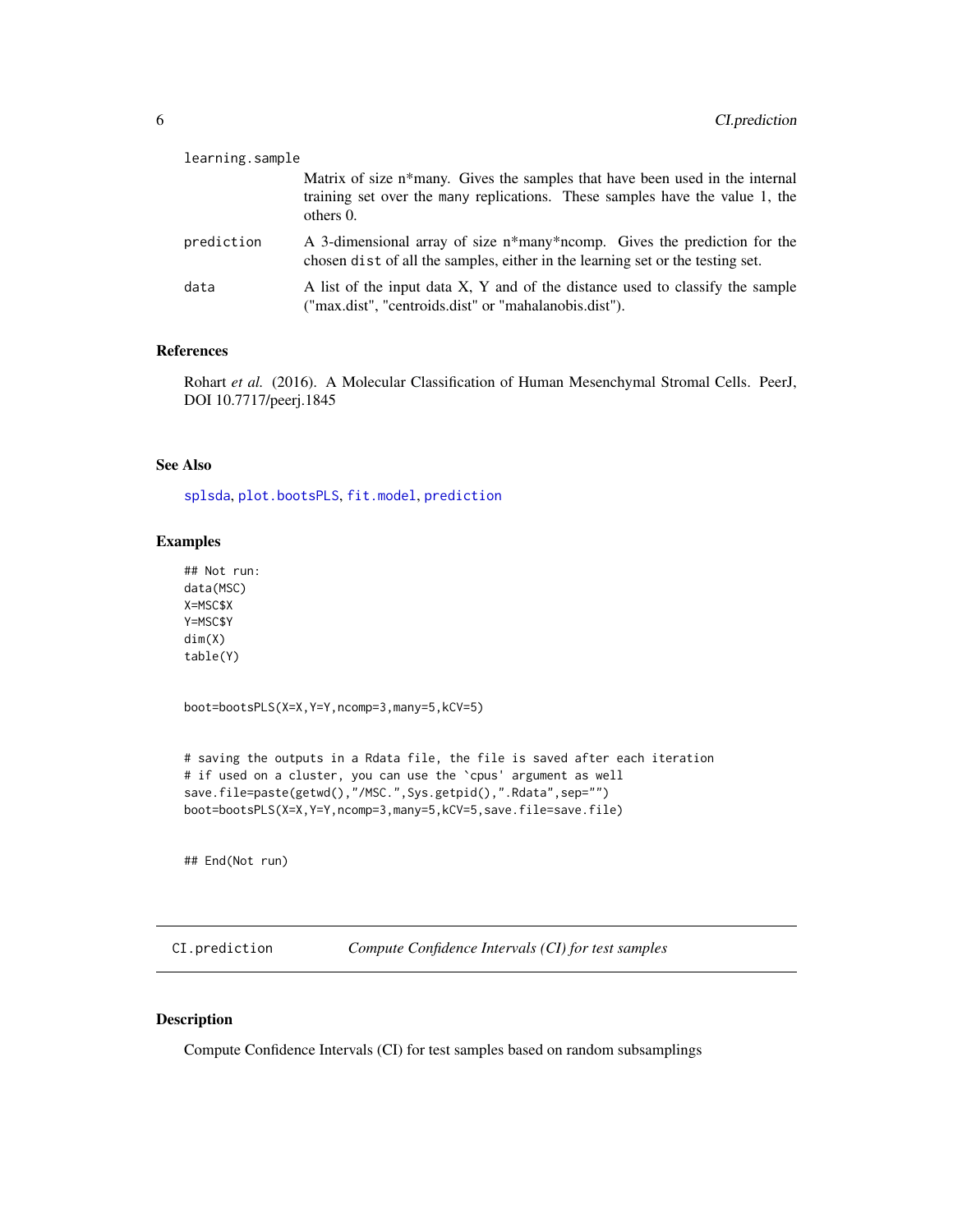<span id="page-5-0"></span>

| learning.sample |                                                                                                                                                                              |
|-----------------|------------------------------------------------------------------------------------------------------------------------------------------------------------------------------|
|                 | Matrix of size n*many. Gives the samples that have been used in the internal<br>training set over the many replications. These samples have the value 1, the<br>others $0$ . |
| prediction      | A 3-dimensional array of size n*many*ncomp. Gives the prediction for the<br>chosen dist of all the samples, either in the learning set or the testing set.                   |
| data            | A list of the input data X, Y and of the distance used to classify the sample<br>("max.dist", "centroids.dist" or "mahalanobis.dist").                                       |

## References

Rohart *et al.* (2016). A Molecular Classification of Human Mesenchymal Stromal Cells. PeerJ, DOI 10.7717/peerj.1845

#### See Also

[splsda](#page-0-0), [plot.bootsPLS](#page-13-1), [fit.model](#page-11-1), [prediction](#page-18-1)

#### Examples

```
## Not run:
data(MSC)
X=MSC$X
Y=MSC$Y
dim(X)
table(Y)
```
boot=bootsPLS(X=X,Y=Y,ncomp=3,many=5,kCV=5)

```
# saving the outputs in a Rdata file, the file is saved after each iteration
# if used on a cluster, you can use the `cpus' argument as well
save.file=paste(getwd(),"/MSC.",Sys.getpid(),".Rdata",sep="")
boot=bootsPLS(X=X,Y=Y,ncomp=3,many=5,kCV=5,save.file=save.file)
```
## End(Not run)

<span id="page-5-1"></span>CI.prediction *Compute Confidence Intervals (CI) for test samples*

#### Description

Compute Confidence Intervals (CI) for test samples based on random subsamplings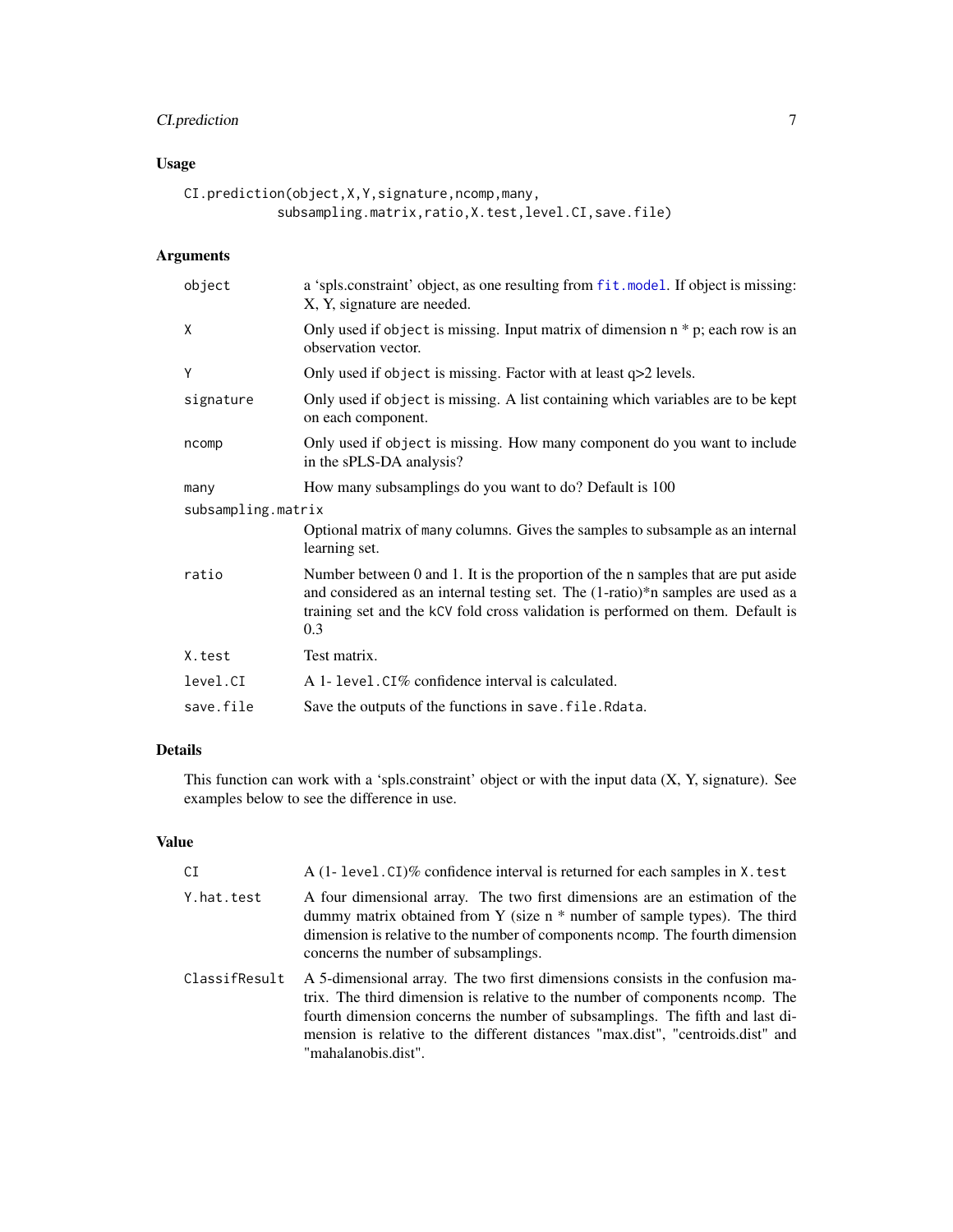# CI.prediction 7

# Usage

```
CI.prediction(object,X,Y,signature,ncomp,many,
            subsampling.matrix,ratio,X.test,level.CI,save.file)
```
### Arguments

| object             | a 'spls.constraint' object, as one resulting from fit.model. If object is missing:<br>X, Y, signature are needed.                                                                                                                                              |
|--------------------|----------------------------------------------------------------------------------------------------------------------------------------------------------------------------------------------------------------------------------------------------------------|
| X                  | Only used if object is missing. Input matrix of dimension $n * p$ ; each row is an<br>observation vector.                                                                                                                                                      |
| Y                  | Only used if object is missing. Factor with at least q>2 levels.                                                                                                                                                                                               |
| signature          | Only used if object is missing. A list containing which variables are to be kept<br>on each component.                                                                                                                                                         |
| ncomp              | Only used if object is missing. How many component do you want to include<br>in the sPLS-DA analysis?                                                                                                                                                          |
| many               | How many subsamplings do you want to do? Default is 100                                                                                                                                                                                                        |
| subsampling.matrix |                                                                                                                                                                                                                                                                |
|                    | Optional matrix of many columns. Gives the samples to subsample as an internal<br>learning set.                                                                                                                                                                |
| ratio              | Number between 0 and 1. It is the proportion of the n samples that are put aside<br>and considered as an internal testing set. The (1-ratio)*n samples are used as a<br>training set and the kCV fold cross validation is performed on them. Default is<br>0.3 |
| X.test             | Test matrix.                                                                                                                                                                                                                                                   |
| level.CI           | A 1- level. CI% confidence interval is calculated.                                                                                                                                                                                                             |
| save.file          | Save the outputs of the functions in save. file. Rdata.                                                                                                                                                                                                        |

# Details

This function can work with a 'spls.constraint' object or with the input data (X, Y, signature). See examples below to see the difference in use.

#### Value

| CI            | A (1- level. CI)% confidence interval is returned for each samples in X. test                                                                                                                                                                                                                                                                           |
|---------------|---------------------------------------------------------------------------------------------------------------------------------------------------------------------------------------------------------------------------------------------------------------------------------------------------------------------------------------------------------|
| Y.hat.test    | A four dimensional array. The two first dimensions are an estimation of the<br>dummy matrix obtained from Y (size $n *$ number of sample types). The third<br>dimension is relative to the number of components normp. The fourth dimension<br>concerns the number of subsamplings.                                                                     |
| ClassifResult | A 5-dimensional array. The two first dimensions consists in the confusion ma-<br>trix. The third dimension is relative to the number of components normp. The<br>fourth dimension concerns the number of subsamplings. The fifth and last di-<br>mension is relative to the different distances "max.dist", "centroids.dist" and<br>"mahalanobis.dist". |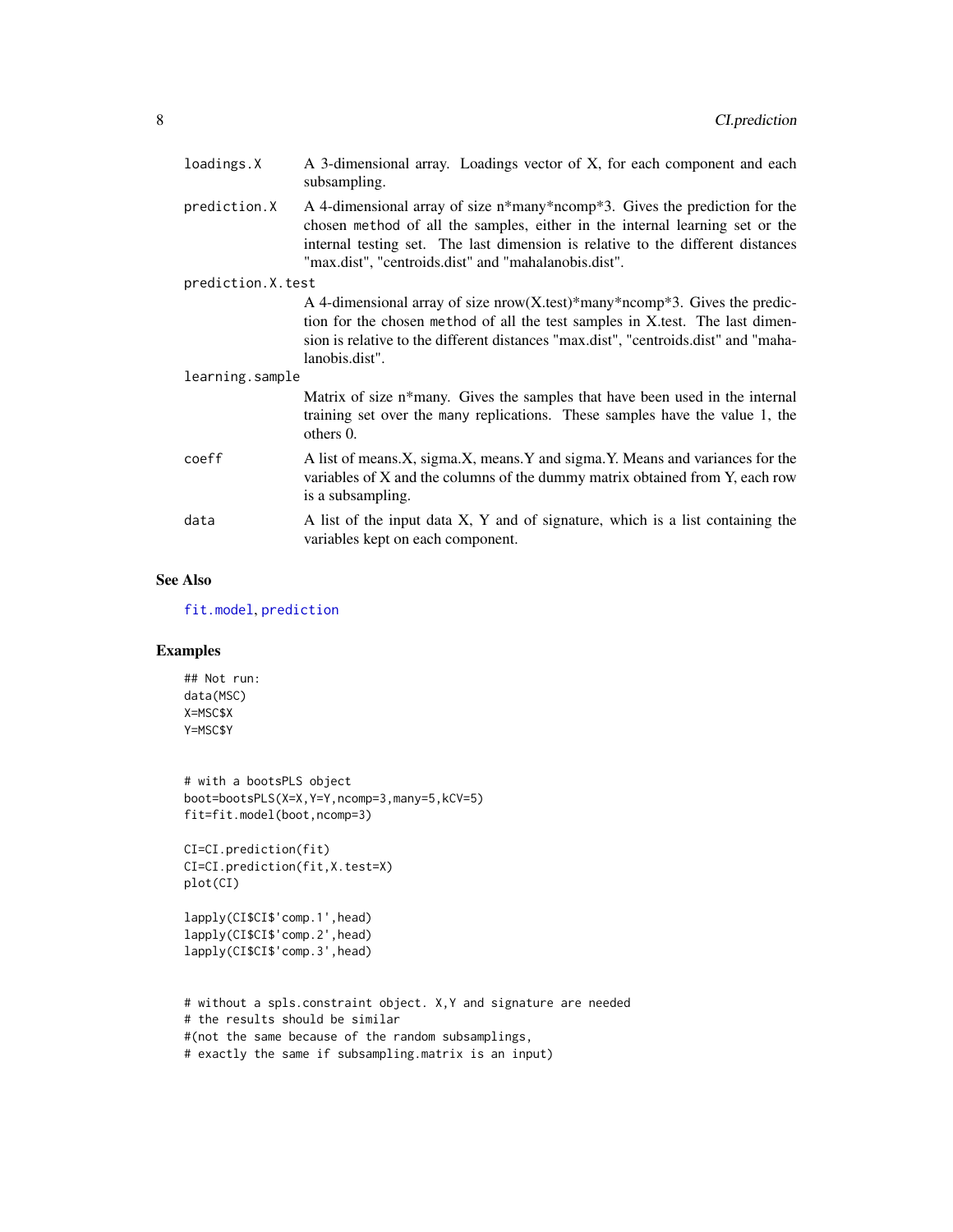<span id="page-7-0"></span>

| loadings.X        | A 3-dimensional array. Loadings vector of X, for each component and each<br>subsampling.                                                                                                                                                                                                              |
|-------------------|-------------------------------------------------------------------------------------------------------------------------------------------------------------------------------------------------------------------------------------------------------------------------------------------------------|
| prediction.X      | A 4-dimensional array of size n*many*ncomp*3. Gives the prediction for the<br>chosen method of all the samples, either in the internal learning set or the<br>internal testing set. The last dimension is relative to the different distances<br>"max.dist", "centroids.dist" and "mahalanobis.dist". |
| prediction.X.test |                                                                                                                                                                                                                                                                                                       |
|                   | A 4-dimensional array of size $now(X.test)*many*ncomp*3$ . Gives the predic-<br>tion for the chosen method of all the test samples in X test. The last dimen-<br>sion is relative to the different distances "max.dist", "centroids.dist" and "maha-<br>lanobis.dist".                                |
| learning.sample   |                                                                                                                                                                                                                                                                                                       |
|                   | Matrix of size n*many. Gives the samples that have been used in the internal<br>training set over the many replications. These samples have the value 1, the<br>others 0.                                                                                                                             |
| coeff             | A list of means.X, sigma.X, means.Y and sigma.Y. Means and variances for the<br>variables of X and the columns of the dummy matrix obtained from Y, each row<br>is a subsampling.                                                                                                                     |
| data              | A list of the input data X, Y and of signature, which is a list containing the<br>variables kept on each component.                                                                                                                                                                                   |

#### See Also

[fit.model](#page-11-1), [prediction](#page-18-1)

# Examples

## Not run: data(MSC) X=MSC\$X Y=MSC\$Y

```
# with a bootsPLS object
boot=bootsPLS(X=X,Y=Y,ncomp=3,many=5,kCV=5)
fit=fit.model(boot,ncomp=3)
```

```
CI=CI.prediction(fit)
CI=CI.prediction(fit,X.test=X)
plot(CI)
```
lapply(CI\$CI\$'comp.1',head) lapply(CI\$CI\$'comp.2',head) lapply(CI\$CI\$'comp.3',head)

```
# without a spls.constraint object. X,Y and signature are needed
# the results should be similar
#(not the same because of the random subsamplings,
# exactly the same if subsampling.matrix is an input)
```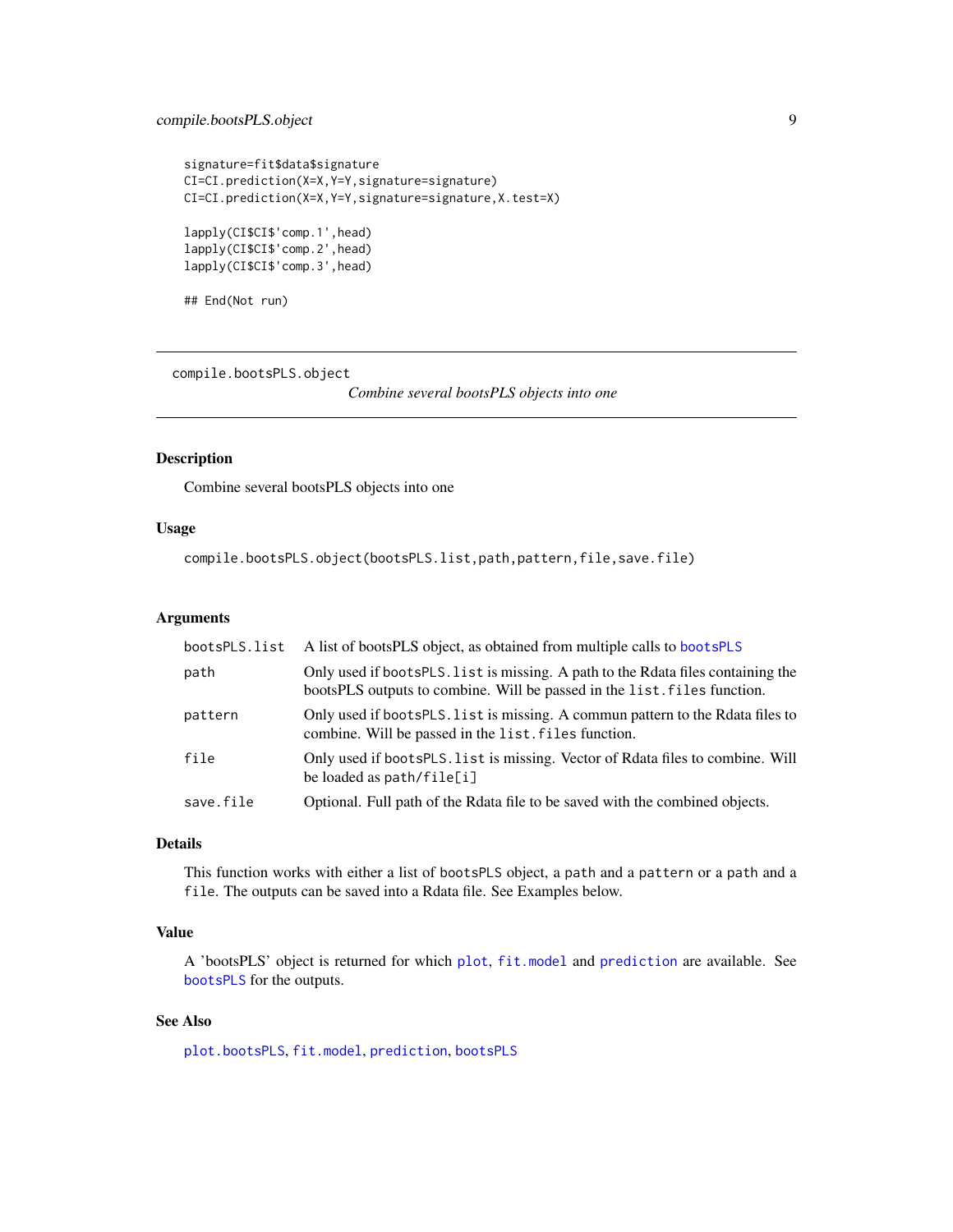#### <span id="page-8-0"></span>compile.bootsPLS.object 9

```
signature=fit$data$signature
CI=CI.prediction(X=X,Y=Y,signature=signature)
CI=CI.prediction(X=X,Y=Y,signature=signature,X.test=X)
lapply(CI$CI$'comp.1',head)
lapply(CI$CI$'comp.2',head)
lapply(CI$CI$'comp.3',head)
```
## End(Not run)

<span id="page-8-1"></span>compile.bootsPLS.object

*Combine several bootsPLS objects into one*

#### Description

Combine several bootsPLS objects into one

#### Usage

compile.bootsPLS.object(bootsPLS.list,path,pattern,file,save.file)

#### Arguments

| bootsPLS.list | A list of bootsPLS object, as obtained from multiple calls to bootsPLS                                                                                       |
|---------------|--------------------------------------------------------------------------------------------------------------------------------------------------------------|
| path          | Only used if bootsPLS. list is missing. A path to the Rdata files containing the<br>bootsPLS outputs to combine. Will be passed in the list. files function. |
| pattern       | Only used if bootsPLS. list is missing. A commun pattern to the Rdata files to<br>combine. Will be passed in the list. files function.                       |
| file          | Only used if bootsPLS. List is missing. Vector of Rdata files to combine. Will<br>be loaded as $path / file[i]$                                              |
| save.file     | Optional. Full path of the Rdata file to be saved with the combined objects.                                                                                 |

#### Details

This function works with either a list of bootsPLS object, a path and a pattern or a path and a file. The outputs can be saved into a Rdata file. See Examples below.

#### Value

A 'bootsPLS' object is returned for which [plot](#page-0-0), [fit.model](#page-11-1) and [prediction](#page-18-1) are available. See [bootsPLS](#page-3-1) for the outputs.

#### See Also

[plot.bootsPLS](#page-13-1), [fit.model](#page-11-1), [prediction](#page-18-1), [bootsPLS](#page-3-1)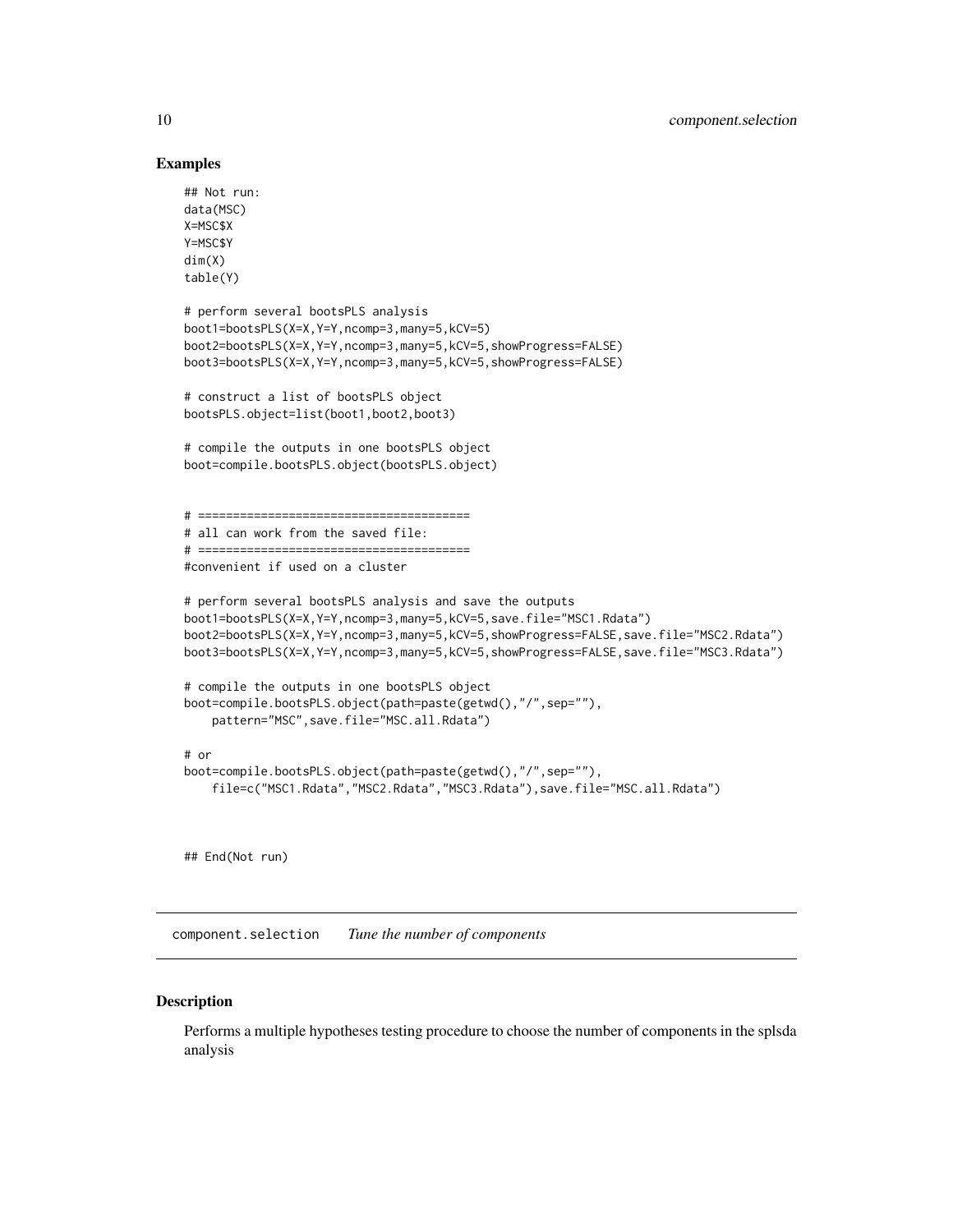#### Examples

```
## Not run:
data(MSC)
X=MSC$X
Y=MSC$Y
dim(X)
table(Y)
# perform several bootsPLS analysis
boot1=bootsPLS(X=X,Y=Y,ncomp=3,many=5,kCV=5)
boot2=bootsPLS(X=X,Y=Y,ncomp=3,many=5,kCV=5,showProgress=FALSE)
boot3=bootsPLS(X=X,Y=Y,ncomp=3,many=5,kCV=5,showProgress=FALSE)
# construct a list of bootsPLS object
bootsPLS.object=list(boot1,boot2,boot3)
# compile the outputs in one bootsPLS object
boot=compile.bootsPLS.object(bootsPLS.object)
# =======================================
# all can work from the saved file:
# =======================================
#convenient if used on a cluster
# perform several bootsPLS analysis and save the outputs
boot1=bootsPLS(X=X,Y=Y,ncomp=3,many=5,kCV=5,save.file="MSC1.Rdata")
boot2=bootsPLS(X=X,Y=Y,ncomp=3,many=5,kCV=5,showProgress=FALSE,save.file="MSC2.Rdata")
boot3=bootsPLS(X=X,Y=Y,ncomp=3,many=5,kCV=5,showProgress=FALSE,save.file="MSC3.Rdata")
# compile the outputs in one bootsPLS object
boot=compile.bootsPLS.object(path=paste(getwd(),"/",sep=""),
    pattern="MSC",save.file="MSC.all.Rdata")
# or
boot=compile.bootsPLS.object(path=paste(getwd(),"/",sep=""),
    file=c("MSC1.Rdata","MSC2.Rdata","MSC3.Rdata"),save.file="MSC.all.Rdata")
```
## End(Not run)

<span id="page-9-1"></span>component.selection *Tune the number of components*

#### Description

Performs a multiple hypotheses testing procedure to choose the number of components in the splsda analysis

<span id="page-9-0"></span>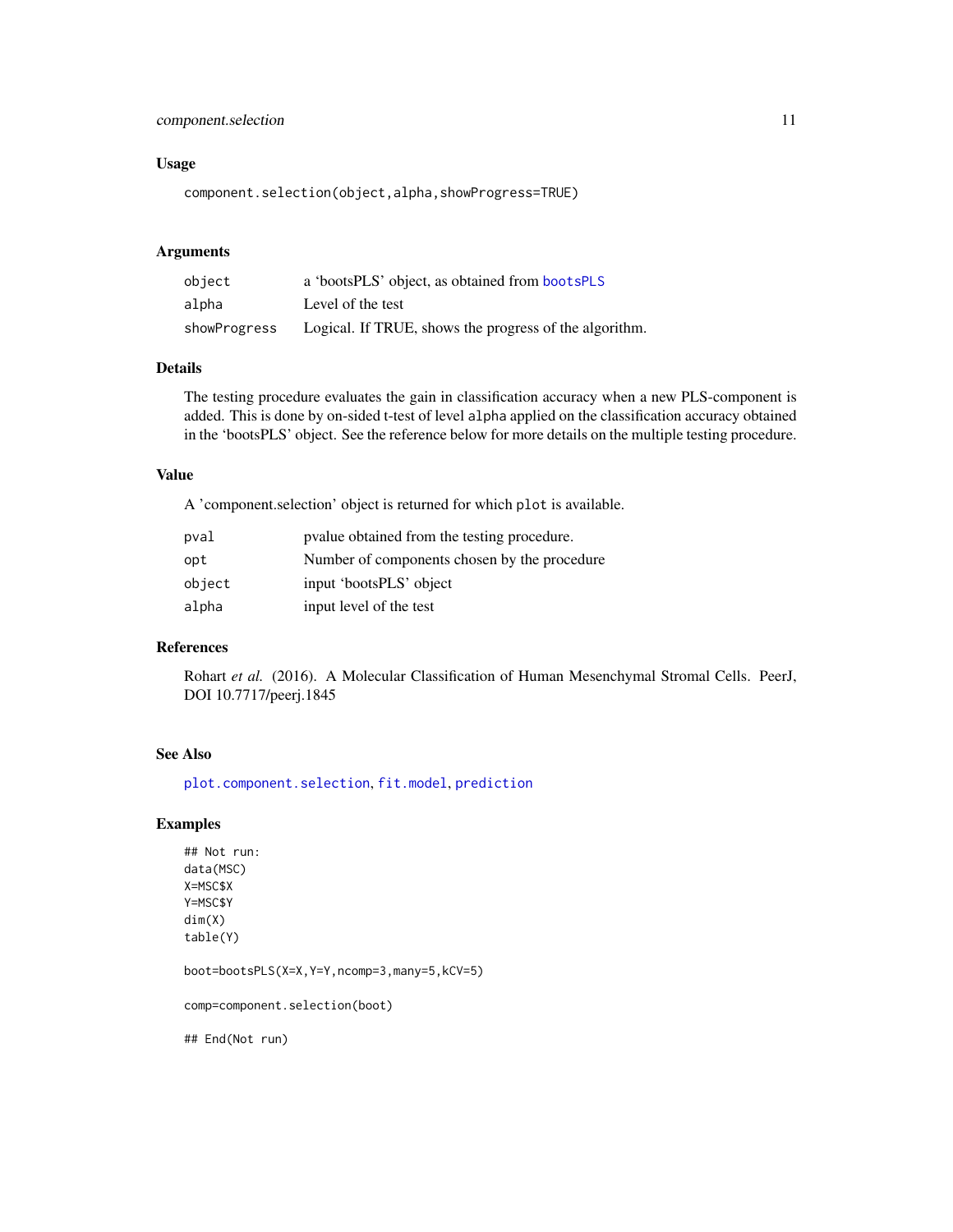#### <span id="page-10-0"></span>component.selection 11

#### Usage

component.selection(object,alpha,showProgress=TRUE)

#### Arguments

| object       | a 'bootsPLS' object, as obtained from bootsPLS         |
|--------------|--------------------------------------------------------|
| alpha        | Level of the test                                      |
| showProgress | Logical. If TRUE, shows the progress of the algorithm. |

#### Details

The testing procedure evaluates the gain in classification accuracy when a new PLS-component is added. This is done by on-sided t-test of level alpha applied on the classification accuracy obtained in the 'bootsPLS' object. See the reference below for more details on the multiple testing procedure.

#### Value

A 'component.selection' object is returned for which plot is available.

| pval   | position procedure.                          |
|--------|----------------------------------------------|
| opt    | Number of components chosen by the procedure |
| object | input 'bootsPLS' object                      |
| alpha  | input level of the test                      |

#### References

Rohart *et al.* (2016). A Molecular Classification of Human Mesenchymal Stromal Cells. PeerJ, DOI 10.7717/peerj.1845

#### See Also

[plot.component.selection](#page-14-1), [fit.model](#page-11-1), [prediction](#page-18-1)

#### Examples

## Not run: data(MSC) X=MSC\$X Y=MSC\$Y dim(X) table(Y)

boot=bootsPLS(X=X,Y=Y,ncomp=3,many=5,kCV=5)

comp=component.selection(boot)

## End(Not run)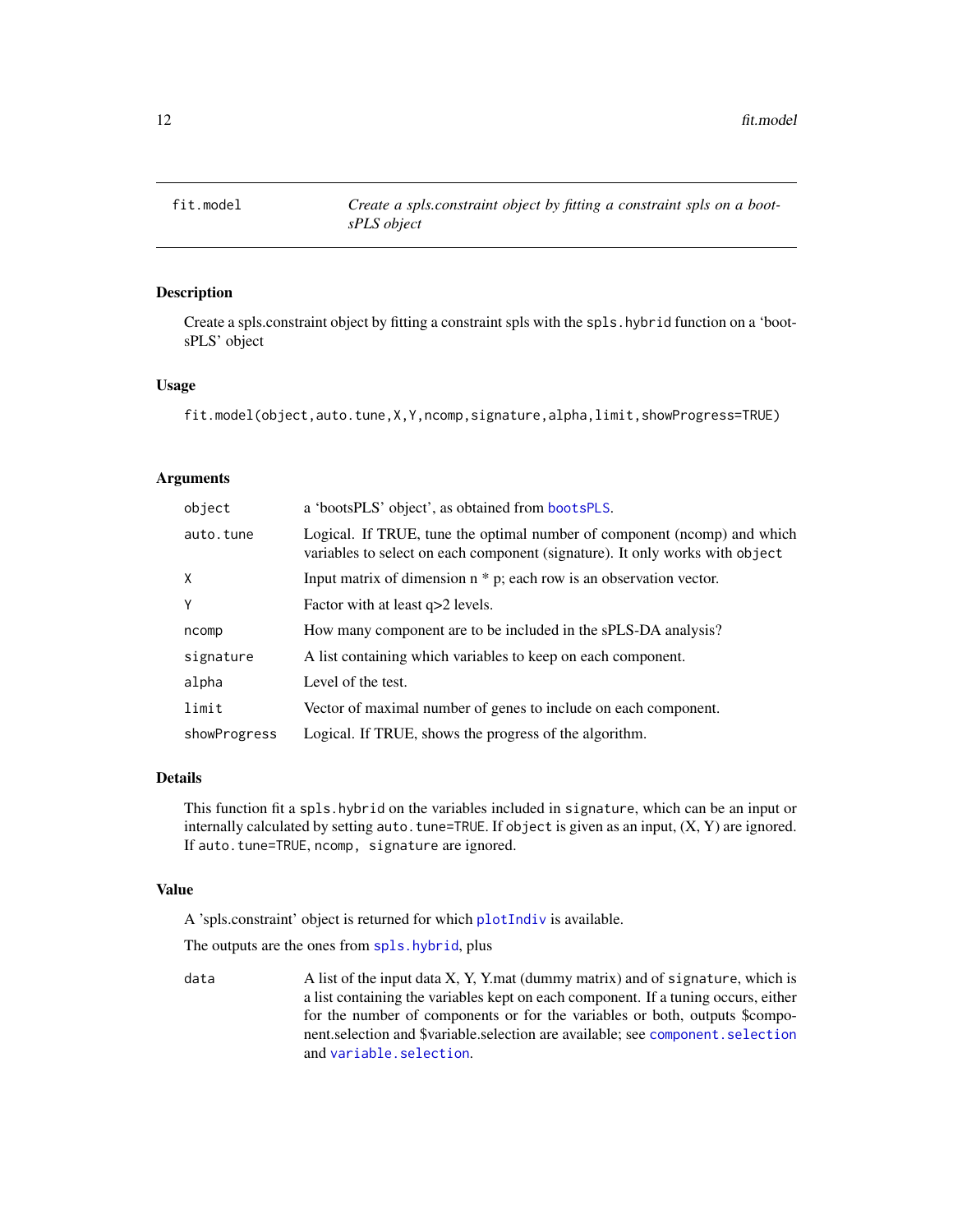<span id="page-11-1"></span><span id="page-11-0"></span>

### Description

Create a spls.constraint object by fitting a constraint spls with the spls.hybrid function on a 'bootsPLS' object

#### Usage

fit.model(object,auto.tune,X,Y,ncomp,signature,alpha,limit,showProgress=TRUE)

#### Arguments

| object                                                                                                                                                                | a 'bootsPLS' object', as obtained from bootsPLS.                       |
|-----------------------------------------------------------------------------------------------------------------------------------------------------------------------|------------------------------------------------------------------------|
| Logical. If TRUE, tune the optimal number of component (ncomp) and which<br>auto.tune<br>variables to select on each component (signature). It only works with object |                                                                        |
| Χ                                                                                                                                                                     | Input matrix of dimension $n * p$ ; each row is an observation vector. |
| Y                                                                                                                                                                     | Factor with at least q>2 levels.                                       |
| ncomp                                                                                                                                                                 | How many component are to be included in the sPLS-DA analysis?         |
| signature                                                                                                                                                             | A list containing which variables to keep on each component.           |
| alpha                                                                                                                                                                 | Level of the test.                                                     |
| limit                                                                                                                                                                 | Vector of maximal number of genes to include on each component.        |
| showProgress                                                                                                                                                          | Logical. If TRUE, shows the progress of the algorithm.                 |

#### Details

This function fit a spls.hybrid on the variables included in signature, which can be an input or internally calculated by setting auto.tune=TRUE. If object is given as an input,  $(X, Y)$  are ignored. If auto.tune=TRUE, ncomp, signature are ignored.

#### Value

A 'spls.constraint' object is returned for which [plotIndiv](#page-0-0) is available.

The outputs are the ones from [spls.hybrid](#page-21-1), plus

data A list of the input data X, Y, Y.mat (dummy matrix) and of signature, which is a list containing the variables kept on each component. If a tuning occurs, either for the number of components or for the variables or both, outputs \$component.selection and \$variable.selection are available; see [component.selection](#page-9-1) and [variable.selection](#page-23-1).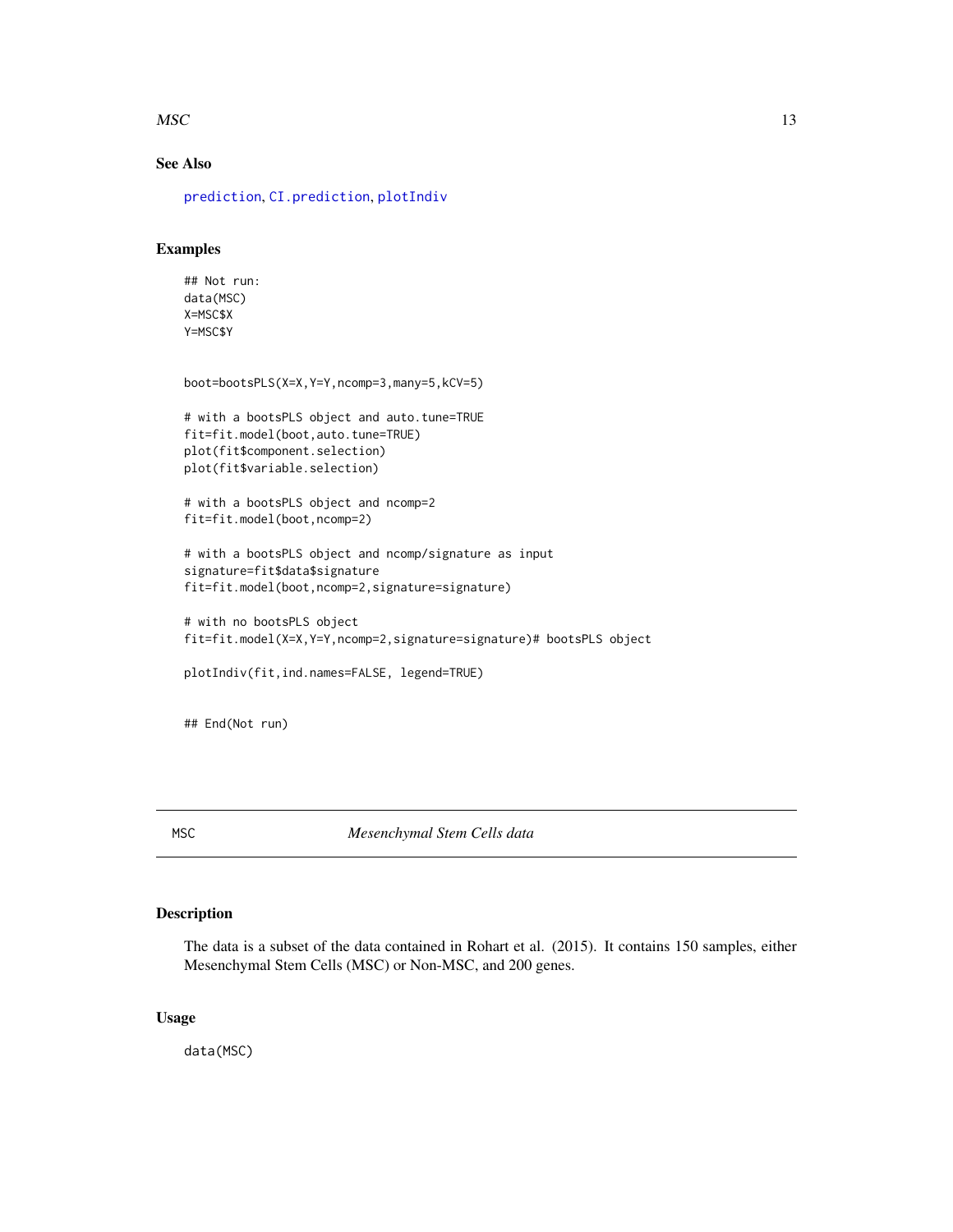#### <span id="page-12-0"></span> $MSC$  13

# See Also

[prediction](#page-18-1), [CI.prediction](#page-5-1), [plotIndiv](#page-0-0)

### Examples

## Not run: data(MSC) X=MSC\$X Y=MSC\$Y

```
boot=bootsPLS(X=X,Y=Y,ncomp=3,many=5,kCV=5)
```

```
# with a bootsPLS object and auto.tune=TRUE
fit=fit.model(boot,auto.tune=TRUE)
plot(fit$component.selection)
plot(fit$variable.selection)
```
# with a bootsPLS object and ncomp=2 fit=fit.model(boot,ncomp=2)

```
# with a bootsPLS object and ncomp/signature as input
signature=fit$data$signature
fit=fit.model(boot,ncomp=2,signature=signature)
```

```
# with no bootsPLS object
fit=fit.model(X=X,Y=Y,ncomp=2,signature=signature)# bootsPLS object
```

```
plotIndiv(fit,ind.names=FALSE, legend=TRUE)
```
## End(Not run)

MSC *Mesenchymal Stem Cells data*

#### Description

The data is a subset of the data contained in Rohart et al. (2015). It contains 150 samples, either Mesenchymal Stem Cells (MSC) or Non-MSC, and 200 genes.

#### Usage

data(MSC)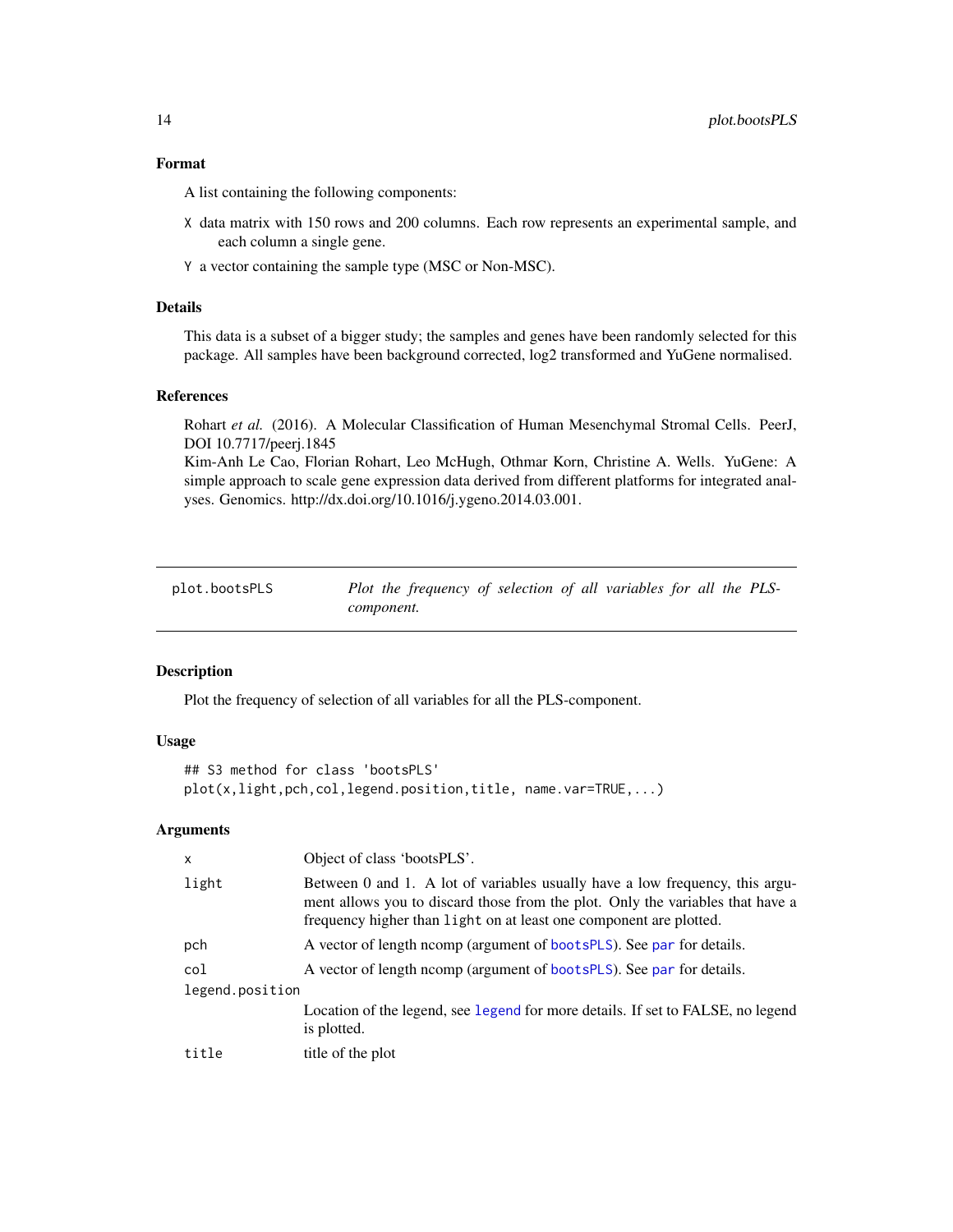#### <span id="page-13-0"></span>Format

A list containing the following components:

- X data matrix with 150 rows and 200 columns. Each row represents an experimental sample, and each column a single gene.
- Y a vector containing the sample type (MSC or Non-MSC).

#### Details

This data is a subset of a bigger study; the samples and genes have been randomly selected for this package. All samples have been background corrected, log2 transformed and YuGene normalised.

#### References

Rohart *et al.* (2016). A Molecular Classification of Human Mesenchymal Stromal Cells. PeerJ, DOI 10.7717/peerj.1845

Kim-Anh Le Cao, Florian Rohart, Leo McHugh, Othmar Korn, Christine A. Wells. YuGene: A simple approach to scale gene expression data derived from different platforms for integrated analyses. Genomics. http://dx.doi.org/10.1016/j.ygeno.2014.03.001.

<span id="page-13-1"></span>plot.bootsPLS *Plot the frequency of selection of all variables for all the PLScomponent.*

#### Description

Plot the frequency of selection of all variables for all the PLS-component.

#### Usage

```
## S3 method for class 'bootsPLS'
plot(x,light,pch,col,legend.position,title, name.var=TRUE,...)
```
#### Arguments

| $\mathsf{x}$    | Object of class 'bootsPLS'.                                                                                                                                                                                                          |  |
|-----------------|--------------------------------------------------------------------------------------------------------------------------------------------------------------------------------------------------------------------------------------|--|
| light           | Between 0 and 1. A lot of variables usually have a low frequency, this argu-<br>ment allows you to discard those from the plot. Only the variables that have a<br>frequency higher than light on at least one component are plotted. |  |
| pch             | A vector of length ncomp (argument of bootsPLS). See par for details.                                                                                                                                                                |  |
| col             | A vector of length nomp (argument of bootsPLS). See par for details.                                                                                                                                                                 |  |
| legend.position |                                                                                                                                                                                                                                      |  |
|                 | Location of the legend, see legend for more details. If set to FALSE, no legend<br>is plotted.                                                                                                                                       |  |
| title           | title of the plot                                                                                                                                                                                                                    |  |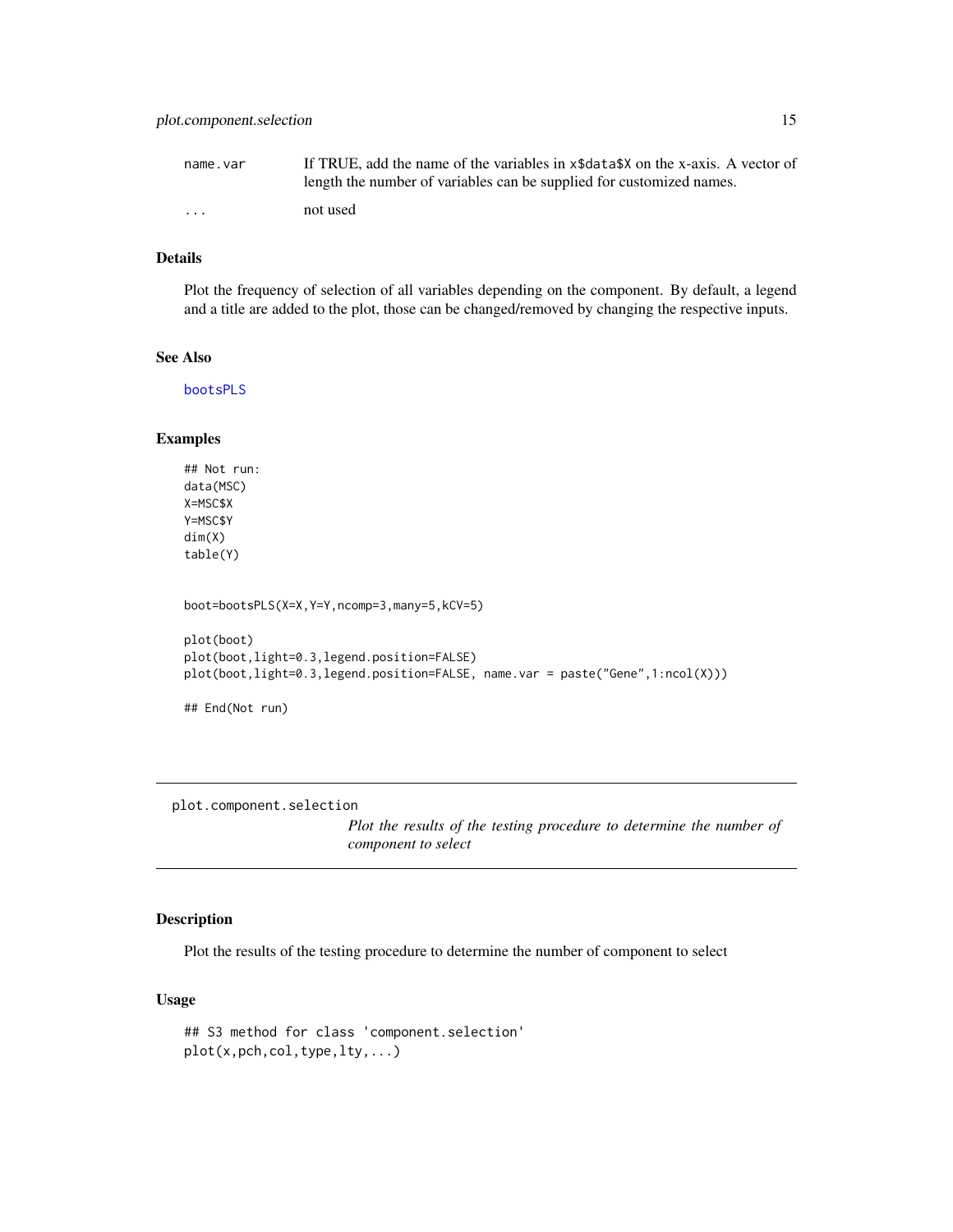<span id="page-14-0"></span>

| name.var | If TRUE, add the name of the variables in x\$data\$X on the x-axis. A vector of |
|----------|---------------------------------------------------------------------------------|
|          | length the number of variables can be supplied for customized names.            |
| .        | not used                                                                        |

#### Details

Plot the frequency of selection of all variables depending on the component. By default, a legend and a title are added to the plot, those can be changed/removed by changing the respective inputs.

#### See Also

[bootsPLS](#page-3-1)

#### Examples

```
## Not run:
data(MSC)
X=MSC$X
Y=MSC$Y
dim(X)
table(Y)
boot=bootsPLS(X=X,Y=Y,ncomp=3,many=5,kCV=5)
plot(boot)
plot(boot,light=0.3,legend.position=FALSE)
plot(boot,light=0.3,legend.position=FALSE, name.var = paste("Gene",1:ncol(X)))
## End(Not run)
```
<span id="page-14-1"></span>plot.component.selection

*Plot the results of the testing procedure to determine the number of component to select*

#### Description

Plot the results of the testing procedure to determine the number of component to select

### Usage

```
## S3 method for class 'component.selection'
plot(x,pch,col,type,lty,...)
```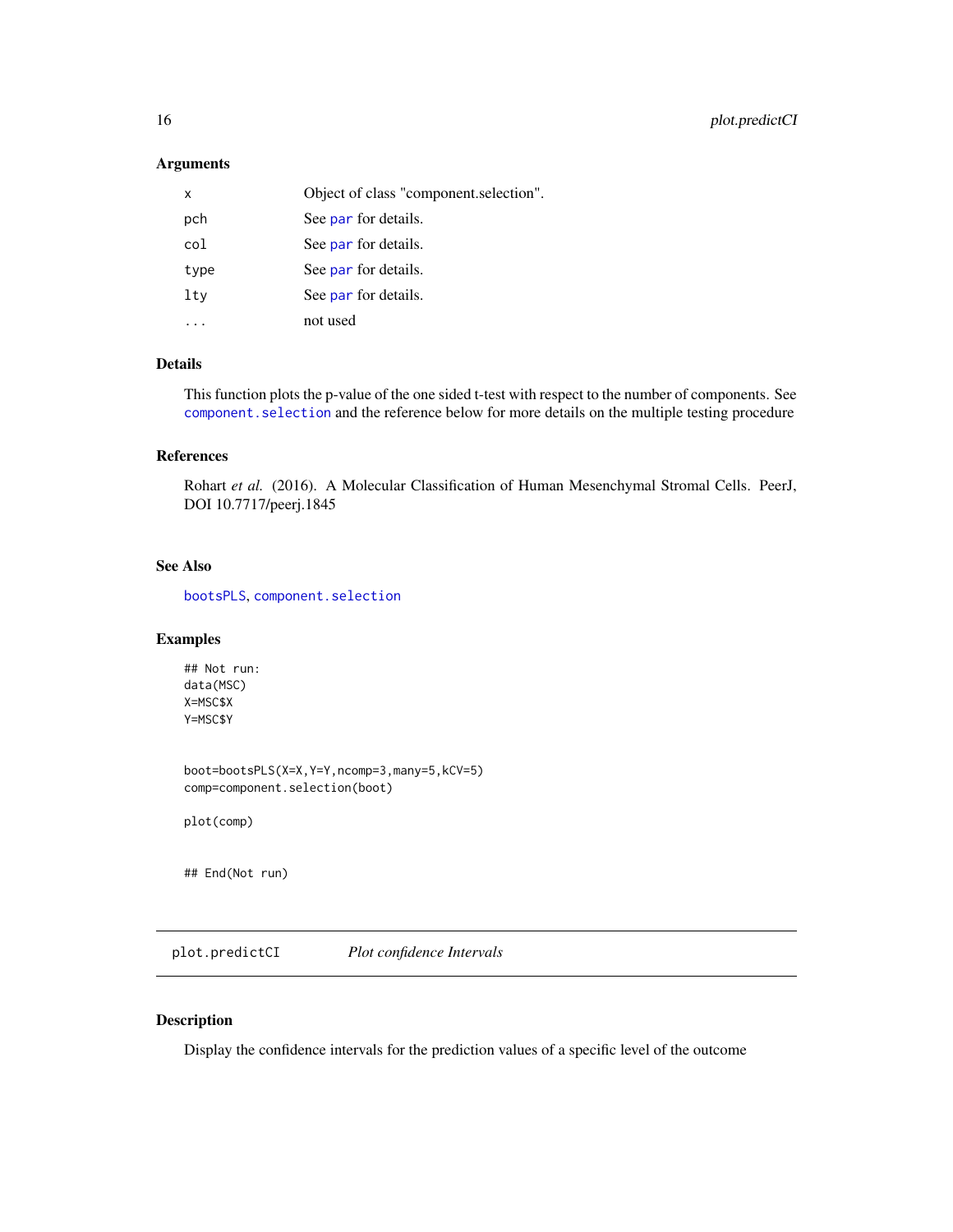#### <span id="page-15-0"></span>Arguments

| x    | Object of class "component.selection". |
|------|----------------------------------------|
| pch  | See par for details.                   |
| col  | See par for details.                   |
| type | See par for details.                   |
| ltv  | See par for details.                   |
|      | not used                               |

#### Details

This function plots the p-value of the one sided t-test with respect to the number of components. See [component.selection](#page-9-1) and the reference below for more details on the multiple testing procedure

#### References

Rohart et al. (2016). A Molecular Classification of Human Mesenchymal Stromal Cells. PeerJ, DOI 10.7717/peerj.1845

#### See Also

[bootsPLS](#page-3-1), [component.selection](#page-9-1)

#### Examples

## Not run: data(MSC) X=MSC\$X Y=MSC\$Y

boot=bootsPLS(X=X,Y=Y,ncomp=3,many=5,kCV=5) comp=component.selection(boot)

plot(comp)

## End(Not run)

plot.predictCI *Plot confidence Intervals*

#### Description

Display the confidence intervals for the prediction values of a specific level of the outcome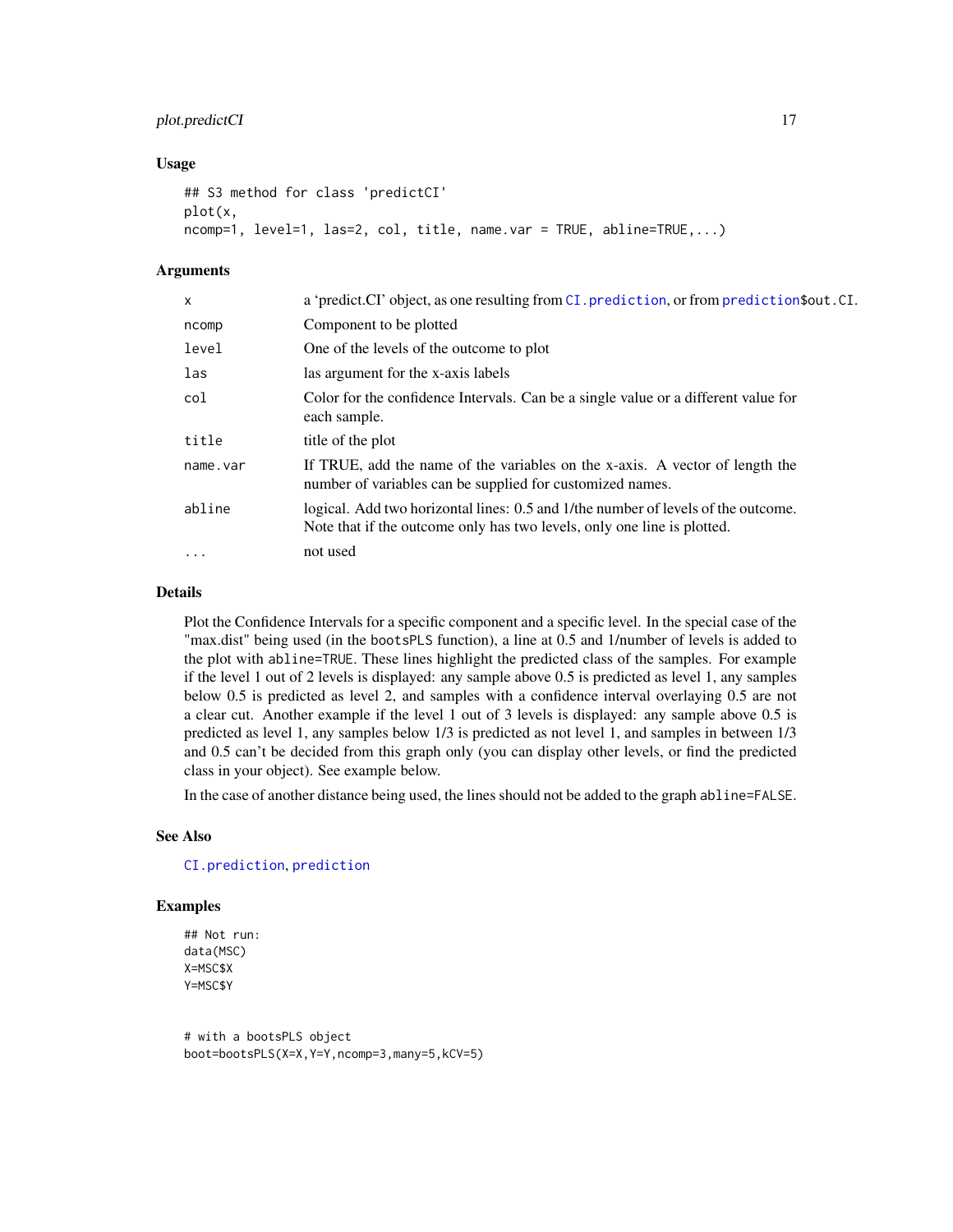#### <span id="page-16-0"></span>plot.predictCI 17

#### Usage

```
## S3 method for class 'predictCI'
plot(x,
ncomp=1, level=1, las=2, col, title, name.var = TRUE, abline=TRUE,...)
```
#### Arguments

| $\times$ | a 'predict.CI' object, as one resulting from CI. prediction, or from prediction \$out.CI.                                                                    |
|----------|--------------------------------------------------------------------------------------------------------------------------------------------------------------|
| ncomp    | Component to be plotted                                                                                                                                      |
| level    | One of the levels of the outcome to plot                                                                                                                     |
| las      | las argument for the x-axis labels                                                                                                                           |
| col      | Color for the confidence Intervals. Can be a single value or a different value for<br>each sample.                                                           |
| title    | title of the plot                                                                                                                                            |
| name.var | If TRUE, add the name of the variables on the x-axis. A vector of length the<br>number of variables can be supplied for customized names.                    |
| abline   | logical. Add two horizontal lines: 0.5 and 1/the number of levels of the outcome.<br>Note that if the outcome only has two levels, only one line is plotted. |
| $\cdots$ | not used                                                                                                                                                     |
|          |                                                                                                                                                              |

#### Details

Plot the Confidence Intervals for a specific component and a specific level. In the special case of the "max.dist" being used (in the bootsPLS function), a line at 0.5 and 1/number of levels is added to the plot with abline=TRUE. These lines highlight the predicted class of the samples. For example if the level 1 out of 2 levels is displayed: any sample above 0.5 is predicted as level 1, any samples below 0.5 is predicted as level 2, and samples with a confidence interval overlaying 0.5 are not a clear cut. Another example if the level 1 out of 3 levels is displayed: any sample above 0.5 is predicted as level 1, any samples below 1/3 is predicted as not level 1, and samples in between 1/3 and 0.5 can't be decided from this graph only (you can display other levels, or find the predicted class in your object). See example below.

In the case of another distance being used, the lines should not be added to the graph abline=FALSE.

#### See Also

#### [CI.prediction](#page-5-1), [prediction](#page-18-1)

#### Examples

```
## Not run:
data(MSC)
X=MSC$X
Y=MSC$Y
```
# with a bootsPLS object boot=bootsPLS(X=X,Y=Y,ncomp=3,many=5,kCV=5)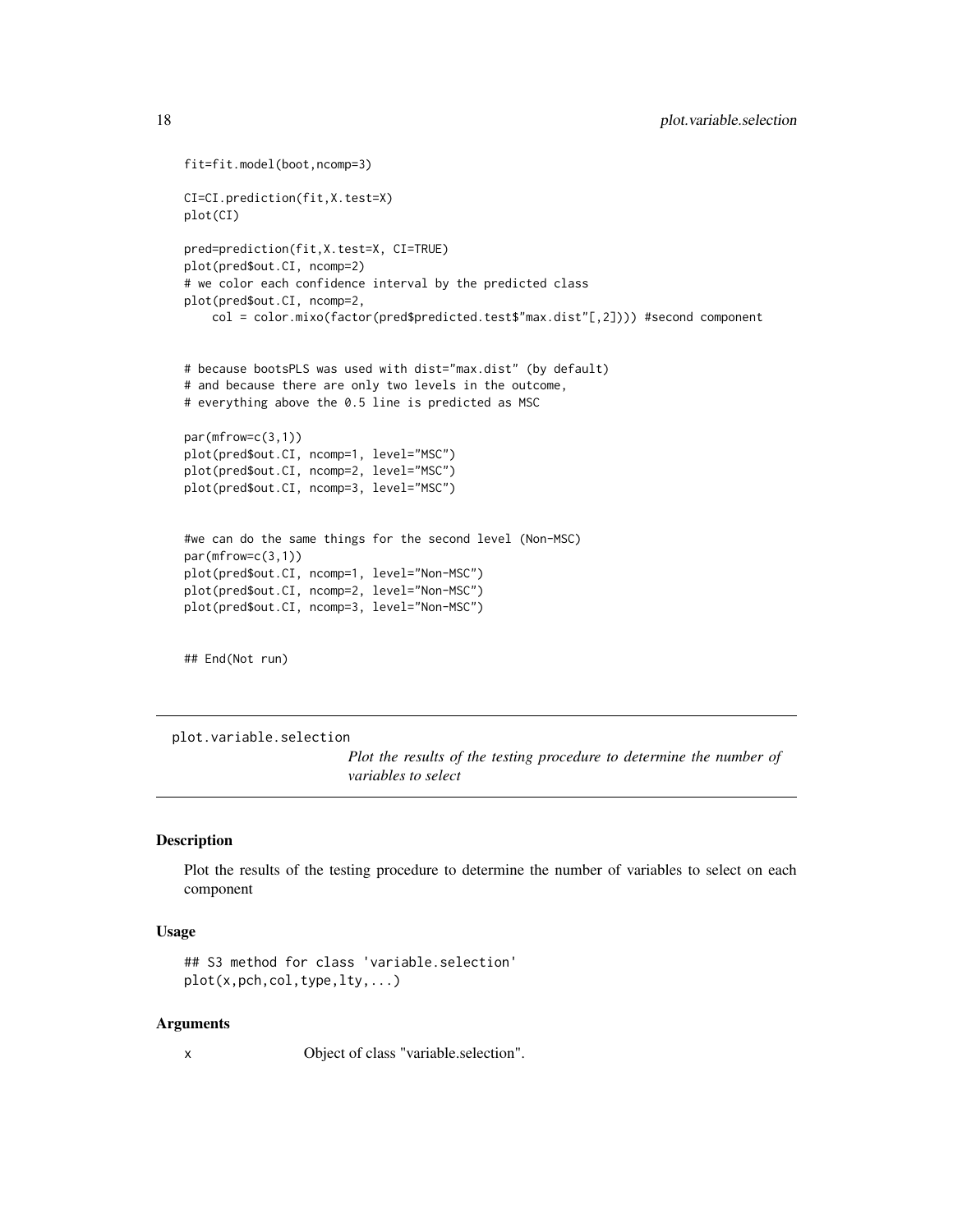```
fit=fit.model(boot,ncomp=3)
CI=CI.prediction(fit,X.test=X)
plot(CI)
pred=prediction(fit,X.test=X, CI=TRUE)
plot(pred$out.CI, ncomp=2)
# we color each confidence interval by the predicted class
plot(pred$out.CI, ncomp=2,
    col = color.mixo(factor(pred$predicted.test$"max.dist"[,2]))) #second component
# because bootsPLS was used with dist="max.dist" (by default)
# and because there are only two levels in the outcome,
# everything above the 0.5 line is predicted as MSC
par(mfrow=c(3,1))
plot(pred$out.CI, ncomp=1, level="MSC")
plot(pred$out.CI, ncomp=2, level="MSC")
plot(pred$out.CI, ncomp=3, level="MSC")
#we can do the same things for the second level (Non-MSC)
par(mfrow=c(3,1))
plot(pred$out.CI, ncomp=1, level="Non-MSC")
plot(pred$out.CI, ncomp=2, level="Non-MSC")
plot(pred$out.CI, ncomp=3, level="Non-MSC")
## End(Not run)
```
plot.variable.selection

*Plot the results of the testing procedure to determine the number of variables to select*

#### Description

Plot the results of the testing procedure to determine the number of variables to select on each component

#### Usage

```
## S3 method for class 'variable.selection'
plot(x,pch,col,type,lty,...)
```
#### Arguments

x Object of class "variable.selection".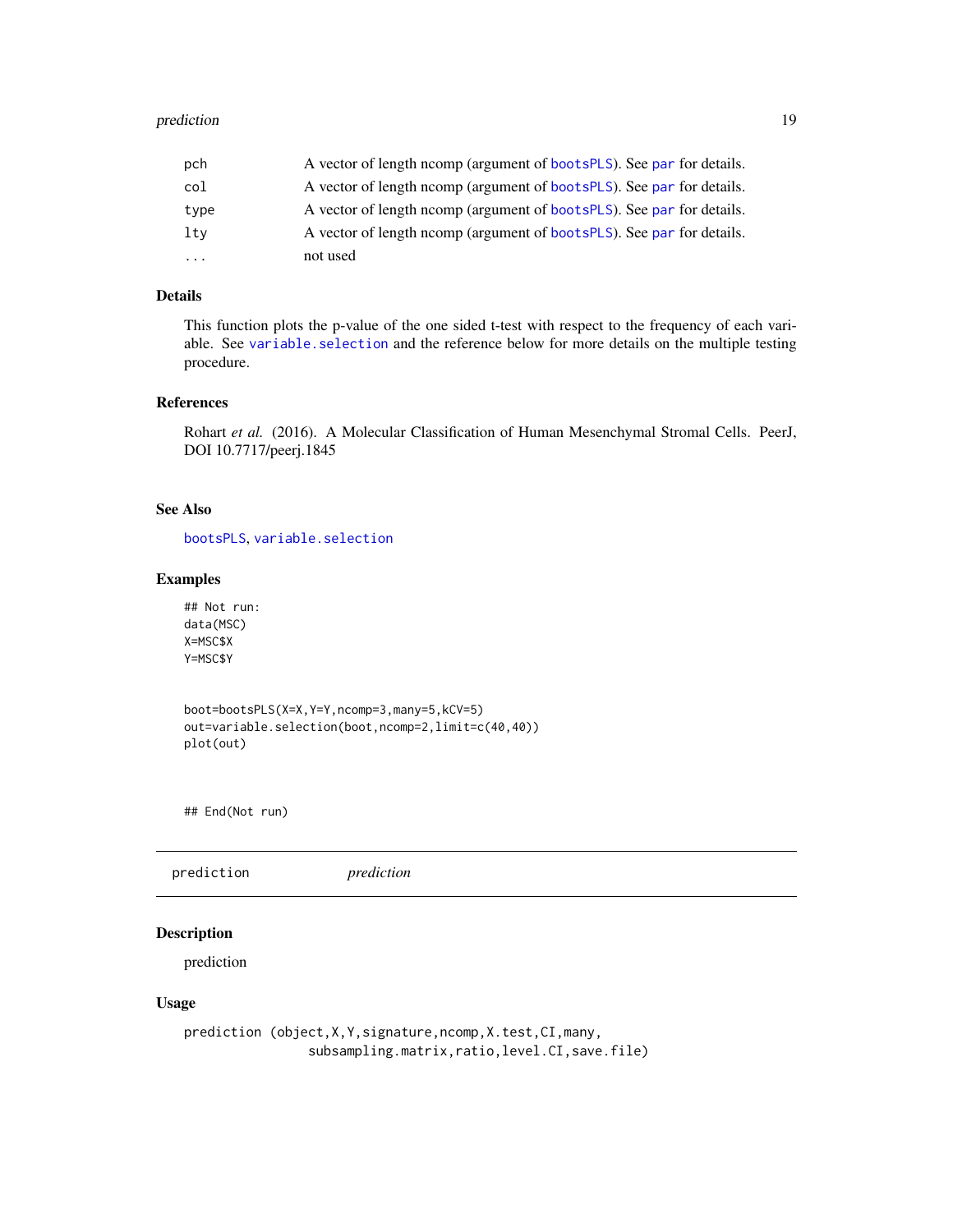#### <span id="page-18-0"></span>prediction that the contract of the contract of the contract of the contract of the contract of the contract of the contract of the contract of the contract of the contract of the contract of the contract of the contract o

| pch       | A vector of length ncomp (argument of bootsPLS). See par for details. |
|-----------|-----------------------------------------------------------------------|
| col       | A vector of length norm (argument of bootsplus). See par for details. |
| type      | A vector of length norm (argument of bootsplus). See par for details. |
| ltv       | A vector of length norm (argument of bootsPLS). See par for details.  |
| $\ddotsc$ | not used                                                              |

#### Details

This function plots the p-value of the one sided t-test with respect to the frequency of each variable. See [variable.selection](#page-23-1) and the reference below for more details on the multiple testing procedure.

#### References

Rohart et al. (2016). A Molecular Classification of Human Mesenchymal Stromal Cells. PeerJ, DOI 10.7717/peerj.1845

#### See Also

[bootsPLS](#page-3-1), [variable.selection](#page-23-1)

#### Examples

## Not run: data(MSC) X=MSC\$X Y=MSC\$Y

boot=bootsPLS(X=X,Y=Y,ncomp=3,many=5,kCV=5) out=variable.selection(boot,ncomp=2,limit=c(40,40)) plot(out)

## End(Not run)

<span id="page-18-1"></span>

| prediction |
|------------|
|------------|

#### Description

prediction

#### Usage

```
prediction (object,X,Y,signature,ncomp,X.test,CI,many,
                subsampling.matrix,ratio,level.CI,save.file)
```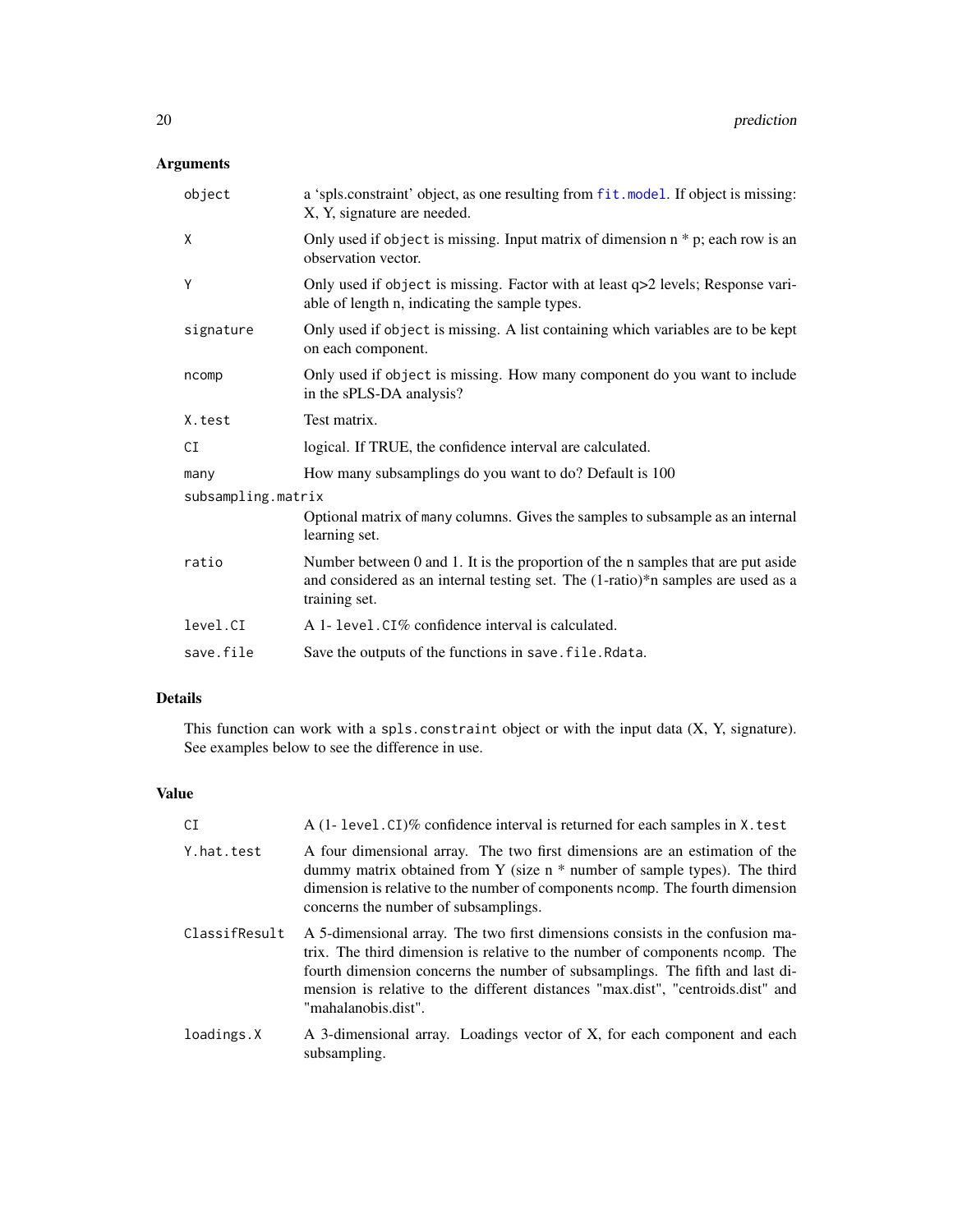# <span id="page-19-0"></span>Arguments

| object             | a 'spls.constraint' object, as one resulting from fit.model. If object is missing:<br>X, Y, signature are needed.                                                                     |  |  |
|--------------------|---------------------------------------------------------------------------------------------------------------------------------------------------------------------------------------|--|--|
| X                  | Only used if object is missing. Input matrix of dimension $n * p$ ; each row is an<br>observation vector.                                                                             |  |  |
| Υ                  | Only used if object is missing. Factor with at least q>2 levels; Response vari-<br>able of length n, indicating the sample types.                                                     |  |  |
| signature          | Only used if object is missing. A list containing which variables are to be kept<br>on each component.                                                                                |  |  |
| ncomp              | Only used if object is missing. How many component do you want to include<br>in the sPLS-DA analysis?                                                                                 |  |  |
| X.test             | Test matrix.                                                                                                                                                                          |  |  |
| CI                 | logical. If TRUE, the confidence interval are calculated.                                                                                                                             |  |  |
| many               | How many subsamplings do you want to do? Default is 100                                                                                                                               |  |  |
| subsampling.matrix |                                                                                                                                                                                       |  |  |
|                    | Optional matrix of many columns. Gives the samples to subsample as an internal<br>learning set.                                                                                       |  |  |
| ratio              | Number between 0 and 1. It is the proportion of the n samples that are put aside<br>and considered as an internal testing set. The (1-ratio)*n samples are used as a<br>training set. |  |  |
| level.CI           | A 1- level. CI% confidence interval is calculated.                                                                                                                                    |  |  |
| save.file          | Save the outputs of the functions in save. file. Rdata.                                                                                                                               |  |  |

#### Details

This function can work with a spls.constraint object or with the input data  $(X, Y,$  signature). See examples below to see the difference in use.

# Value

| CI            | A (1- level CI)% confidence interval is returned for each samples in X. test                                                                                                                                                                                                                                                                            |  |
|---------------|---------------------------------------------------------------------------------------------------------------------------------------------------------------------------------------------------------------------------------------------------------------------------------------------------------------------------------------------------------|--|
| Y.hat.test    | A four dimensional array. The two first dimensions are an estimation of the<br>dummy matrix obtained from Y (size $n *$ number of sample types). The third<br>dimension is relative to the number of components ncomp. The fourth dimension<br>concerns the number of subsamplings.                                                                     |  |
| ClassifResult | A 5-dimensional array. The two first dimensions consists in the confusion ma-<br>trix. The third dimension is relative to the number of components normp. The<br>fourth dimension concerns the number of subsamplings. The fifth and last di-<br>mension is relative to the different distances "max.dist", "centroids.dist" and<br>"mahalanobis.dist". |  |
| loadings.X    | A 3-dimensional array. Loadings vector of X, for each component and each<br>subsampling.                                                                                                                                                                                                                                                                |  |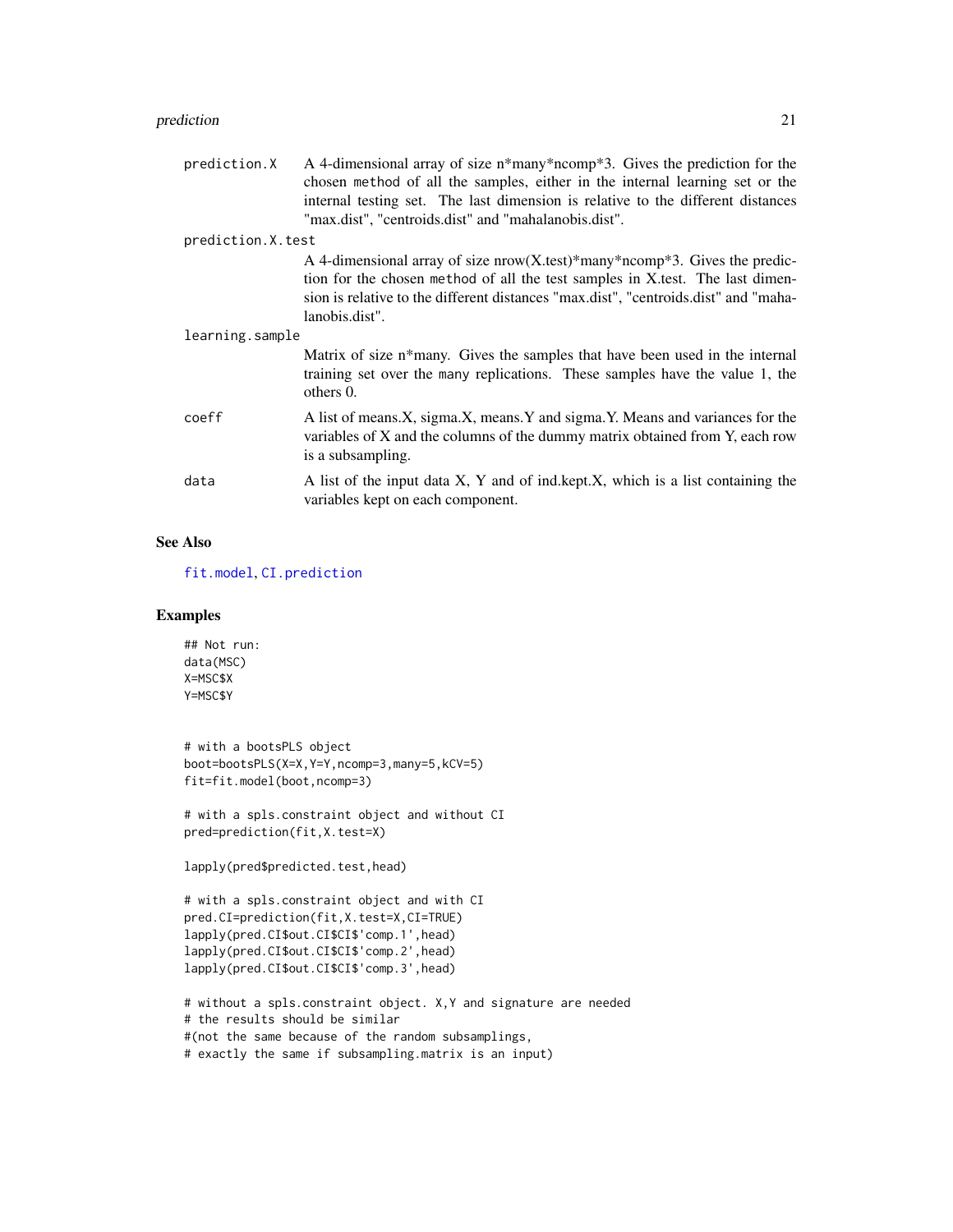#### <span id="page-20-0"></span>prediction 21

prediction.  $X$  A 4-dimensional array of size n\*many\*ncomp\*3. Gives the prediction for the chosen method of all the samples, either in the internal learning set or the internal testing set. The last dimension is relative to the different distances "max.dist", "centroids.dist" and "mahalanobis.dist".

prediction.X.test

A 4-dimensional array of size nrow(X.test)\*many\*ncomp\*3. Gives the prediction for the chosen method of all the test samples in X.test. The last dimension is relative to the different distances "max.dist", "centroids.dist" and "mahalanobis.dist".

| learning.sample |                                                                                                                                                                                   |
|-----------------|-----------------------------------------------------------------------------------------------------------------------------------------------------------------------------------|
|                 | Matrix of size n*many. Gives the samples that have been used in the internal<br>training set over the many replications. These samples have the value 1, the<br>others $0$ .      |
| coeff           | A list of means.X, sigma.X, means.Y and sigma.Y. Means and variances for the<br>variables of X and the columns of the dummy matrix obtained from Y, each row<br>is a subsampling. |
| data            | A list of the input data X, Y and of ind kept.X, which is a list containing the<br>variables kept on each component.                                                              |

#### See Also

[fit.model](#page-11-1), [CI.prediction](#page-5-1)

#### Examples

```
## Not run:
data(MSC)
X=MSC$X
Y=MSC$Y
```

```
# with a bootsPLS object
boot=bootsPLS(X=X,Y=Y,ncomp=3,many=5,kCV=5)
fit=fit.model(boot,ncomp=3)
```
# with a spls.constraint object and without CI pred=prediction(fit,X.test=X)

```
lapply(pred$predicted.test,head)
```

```
# with a spls.constraint object and with CI
pred.CI=prediction(fit,X.test=X,CI=TRUE)
lapply(pred.CI$out.CI$CI$'comp.1',head)
lapply(pred.CI$out.CI$CI$'comp.2',head)
lapply(pred.CI$out.CI$CI$'comp.3',head)
```

```
# without a spls.constraint object. X,Y and signature are needed
# the results should be similar
#(not the same because of the random subsamplings,
# exactly the same if subsampling.matrix is an input)
```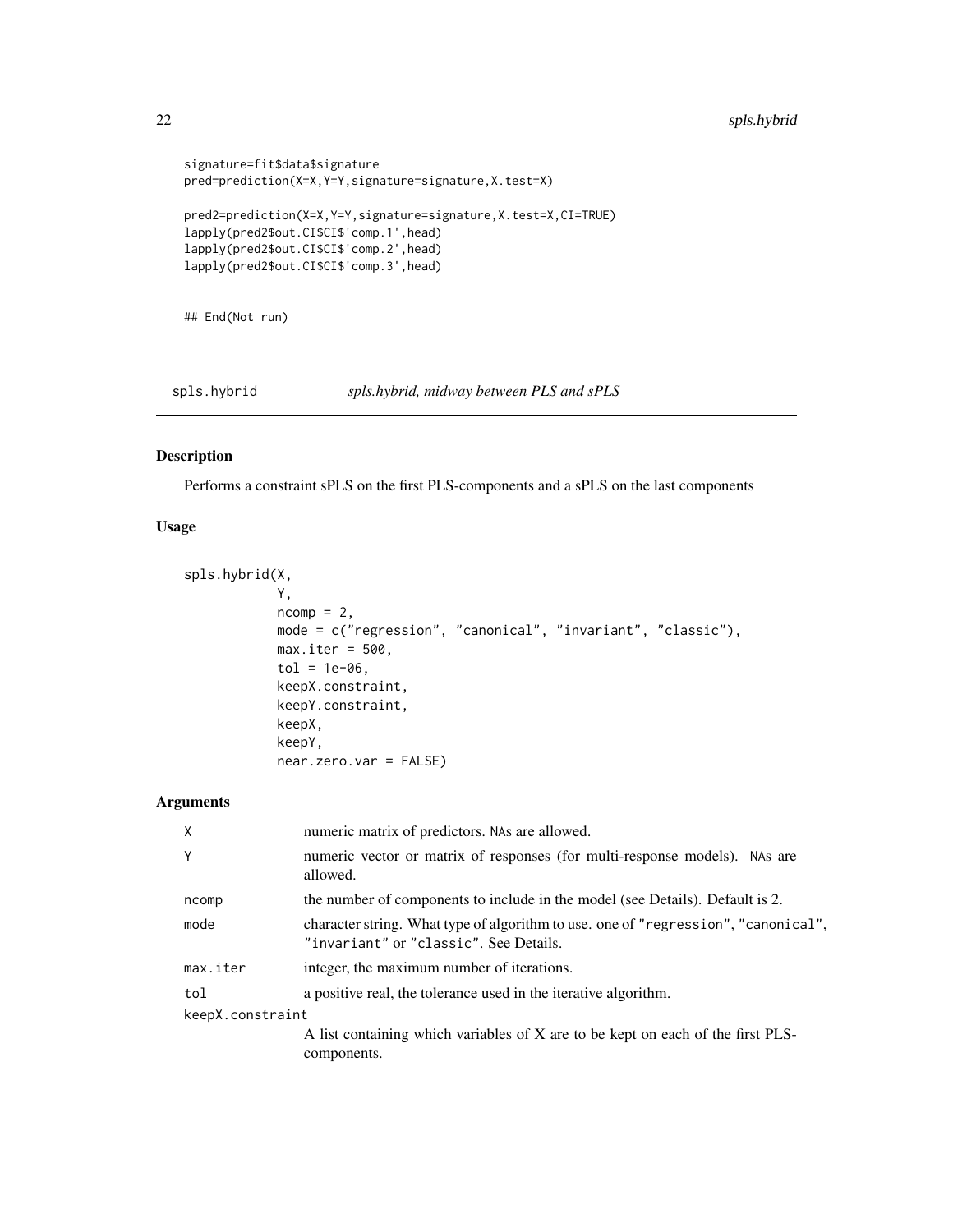```
signature=fit$data$signature
pred=prediction(X=X,Y=Y,signature=signature,X.test=X)
pred2=prediction(X=X,Y=Y,signature=signature,X.test=X,CI=TRUE)
lapply(pred2$out.CI$CI$'comp.1',head)
lapply(pred2$out.CI$CI$'comp.2',head)
lapply(pred2$out.CI$CI$'comp.3',head)
```
## End(Not run)

<span id="page-21-1"></span>spls.hybrid *spls.hybrid, midway between PLS and sPLS*

#### Description

Performs a constraint sPLS on the first PLS-components and a sPLS on the last components

### Usage

```
spls.hybrid(X,
            Y,
            ncomp = 2,
            mode = c("regression", "canonical", "invariant", "classic"),
            max.iter = 500,tol = 1e-06,keepX.constraint,
            keepY.constraint,
            keepX,
            keepY,
            near.zero.var = FALSE)
```
#### Arguments

| $\times$         | numeric matrix of predictors. NAs are allowed.                                                                               |
|------------------|------------------------------------------------------------------------------------------------------------------------------|
| Y                | numeric vector or matrix of responses (for multi-response models). NAs are<br>allowed.                                       |
| ncomp            | the number of components to include in the model (see Details). Default is 2.                                                |
| mode             | character string. What type of algorithm to use, one of "regression", "canonical",<br>"invariant" or "classic". See Details. |
| max.iter         | integer, the maximum number of iterations.                                                                                   |
| tol              | a positive real, the tolerance used in the iterative algorithm.                                                              |
| keepX.constraint |                                                                                                                              |
|                  | A list containing which variables of X are to be kept on each of the first PLS-<br>components.                               |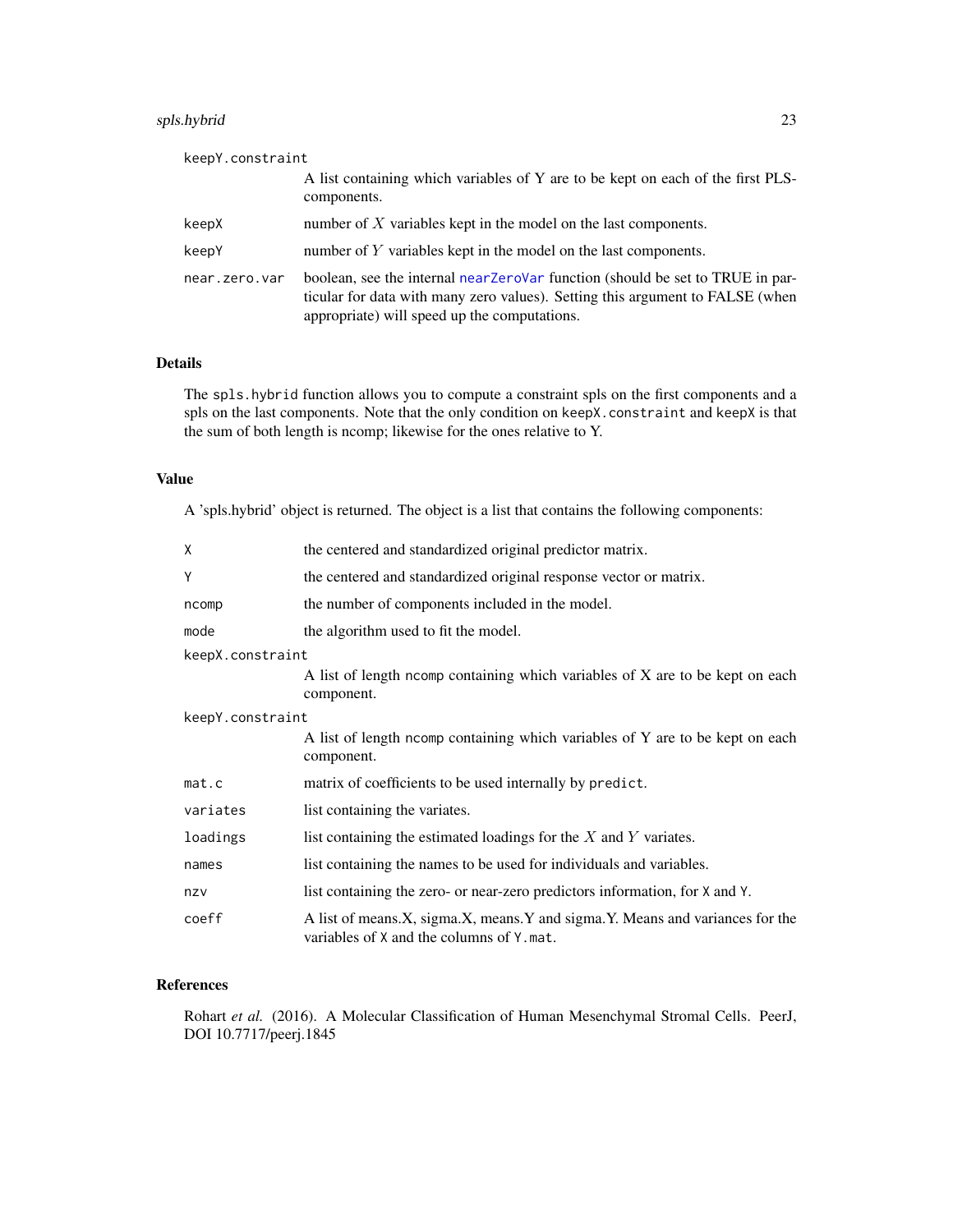#### <span id="page-22-0"></span>spls.hybrid 23

| keepY.constraint |                                                                                                                                                                                                                 |
|------------------|-----------------------------------------------------------------------------------------------------------------------------------------------------------------------------------------------------------------|
|                  | A list containing which variables of Y are to be kept on each of the first PLS-<br>components.                                                                                                                  |
| keepX            | number of $X$ variables kept in the model on the last components.                                                                                                                                               |
| keepY            | number of $Y$ variables kept in the model on the last components.                                                                                                                                               |
| near.zero.var    | boolean, see the internal near ZeroVar function (should be set to TRUE in par-<br>ticular for data with many zero values). Setting this argument to FALSE (when<br>appropriate) will speed up the computations. |

#### Details

The spls.hybrid function allows you to compute a constraint spls on the first components and a spls on the last components. Note that the only condition on keepX.constraint and keepX is that the sum of both length is ncomp; likewise for the ones relative to Y.

## Value

A 'spls.hybrid' object is returned. The object is a list that contains the following components:

| χ                | the centered and standardized original predictor matrix.                                                                 |  |
|------------------|--------------------------------------------------------------------------------------------------------------------------|--|
| Υ                | the centered and standardized original response vector or matrix.                                                        |  |
| ncomp            | the number of components included in the model.                                                                          |  |
| mode             | the algorithm used to fit the model.                                                                                     |  |
| keepX.constraint |                                                                                                                          |  |
|                  | A list of length norm containing which variables of X are to be kept on each<br>component.                               |  |
| keepY.constraint |                                                                                                                          |  |
|                  | A list of length norm containing which variables of Y are to be kept on each<br>component.                               |  |
| mat.c            | matrix of coefficients to be used internally by predict.                                                                 |  |
| variates         | list containing the variates.                                                                                            |  |
| loadings         | list containing the estimated loadings for the $X$ and $Y$ variates.                                                     |  |
| names            | list containing the names to be used for individuals and variables.                                                      |  |
| nzv              | list containing the zero- or near-zero predictors information, for X and Y.                                              |  |
| coeff            | A list of means.X, sigma.X, means.Y and sigma.Y. Means and variances for the<br>variables of X and the columns of Y.mat. |  |

# References

Rohart et al. (2016). A Molecular Classification of Human Mesenchymal Stromal Cells. PeerJ, DOI 10.7717/peerj.1845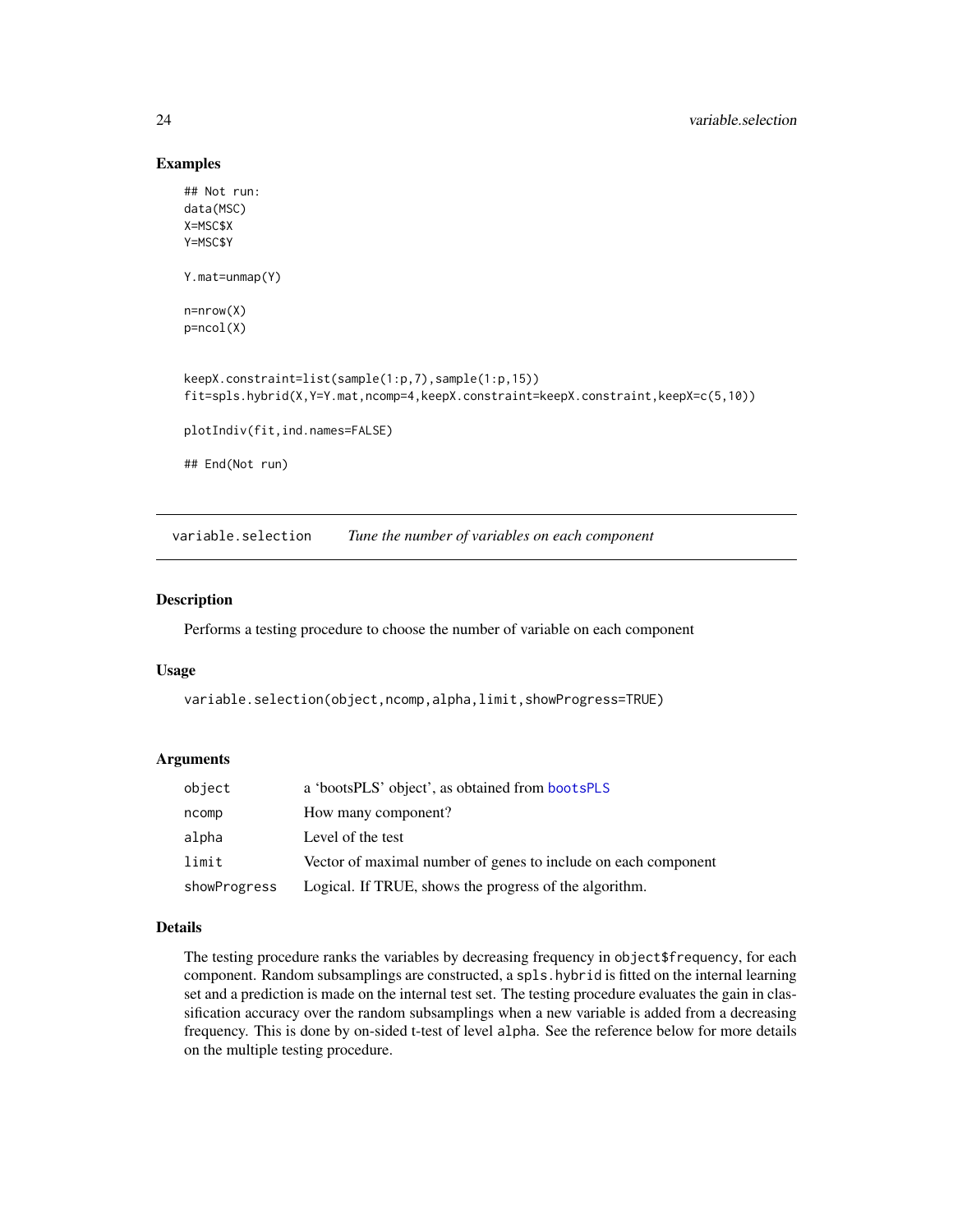#### Examples

```
## Not run:
data(MSC)
X=MSC$X
Y=MSC$Y
Y.mat=unmap(Y)
n=nrow(X)
p=ncol(X)
keepX.constraint=list(sample(1:p,7),sample(1:p,15))
fit=spls.hybrid(X,Y=Y.mat,ncomp=4,keepX.constraint=keepX.constraint,keepX=c(5,10))
plotIndiv(fit,ind.names=FALSE)
## End(Not run)
```
<span id="page-23-1"></span>variable.selection *Tune the number of variables on each component*

#### Description

Performs a testing procedure to choose the number of variable on each component

#### Usage

```
variable.selection(object,ncomp,alpha,limit,showProgress=TRUE)
```
#### Arguments

| object       | a 'bootsPLS' object', as obtained from bootsPLS                |
|--------------|----------------------------------------------------------------|
| ncomp        | How many component?                                            |
| alpha        | Level of the test                                              |
| limit        | Vector of maximal number of genes to include on each component |
| showProgress | Logical. If TRUE, shows the progress of the algorithm.         |

#### Details

The testing procedure ranks the variables by decreasing frequency in object\$frequency, for each component. Random subsamplings are constructed, a spls.hybrid is fitted on the internal learning set and a prediction is made on the internal test set. The testing procedure evaluates the gain in classification accuracy over the random subsamplings when a new variable is added from a decreasing frequency. This is done by on-sided t-test of level alpha. See the reference below for more details on the multiple testing procedure.

<span id="page-23-0"></span>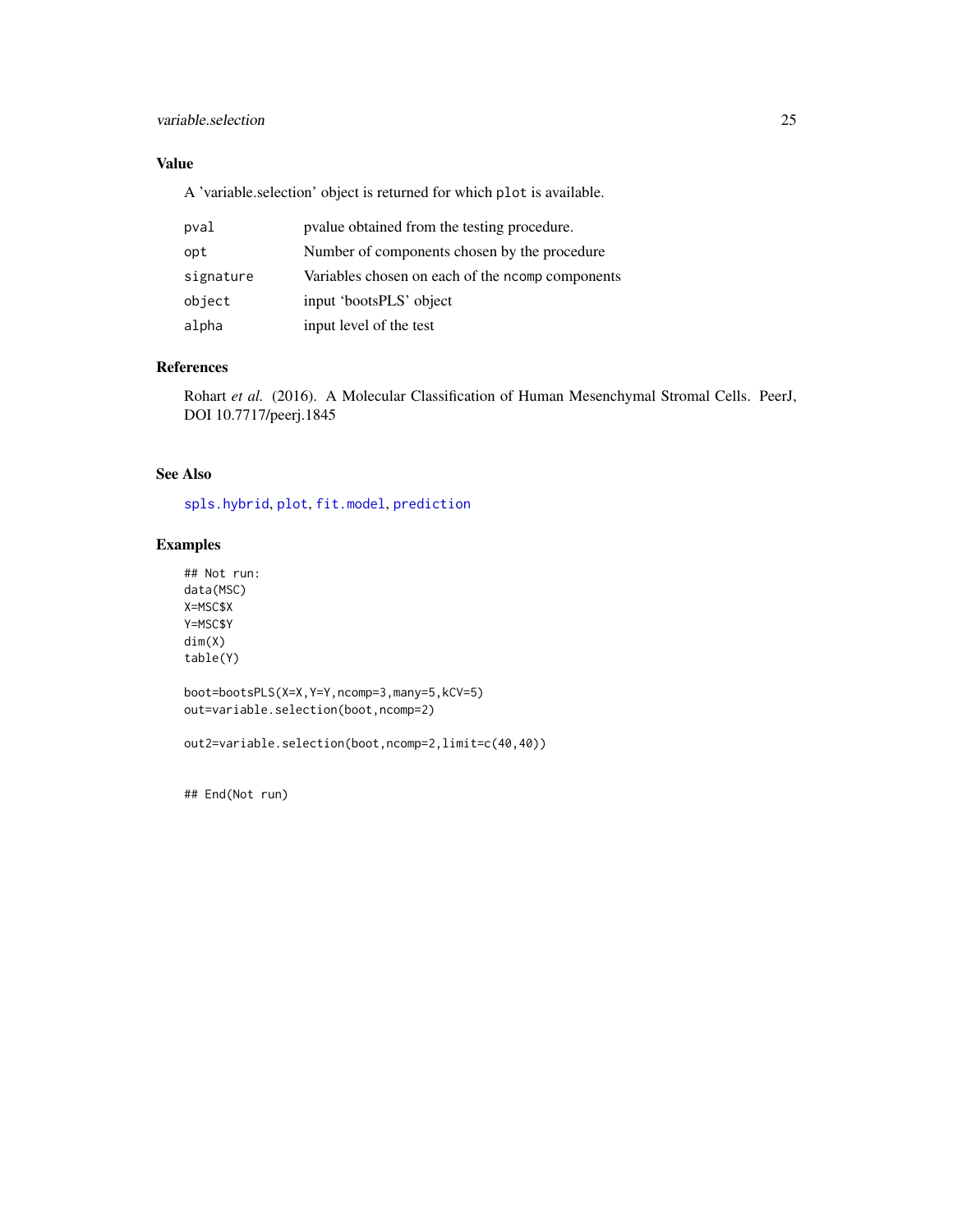#### <span id="page-24-0"></span>variable.selection 25

# Value

A 'variable.selection' object is returned for which plot is available.

| pval      | pvalue obtained from the testing procedure.      |
|-----------|--------------------------------------------------|
| opt       | Number of components chosen by the procedure     |
| signature | Variables chosen on each of the ncomp components |
| object    | input 'bootsPLS' object                          |
| alpha     | input level of the test                          |

# References

Rohart *et al.* (2016). A Molecular Classification of Human Mesenchymal Stromal Cells. PeerJ, DOI 10.7717/peerj.1845

# See Also

[spls.hybrid](#page-21-1), [plot](#page-0-0), [fit.model](#page-11-1), [prediction](#page-18-1)

#### Examples

## Not run: data(MSC) X=MSC\$X Y=MSC\$Y dim(X) table(Y)

boot=bootsPLS(X=X,Y=Y,ncomp=3,many=5,kCV=5) out=variable.selection(boot,ncomp=2)

out2=variable.selection(boot,ncomp=2,limit=c(40,40))

## End(Not run)